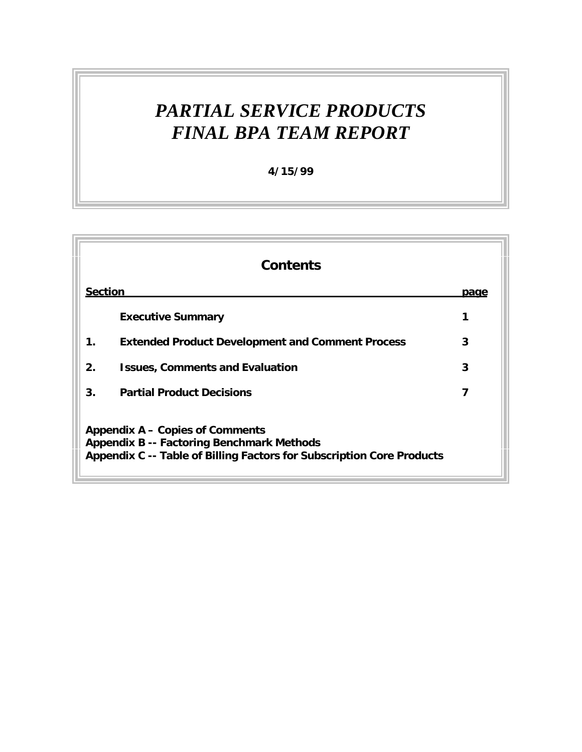# *PARTIAL SERVICE PRODUCTS FINAL BPA TEAM REPORT*

**4/15/99**

|                | <b>Contents</b>                                                                                                                                                     |      |  |  |  |  |
|----------------|---------------------------------------------------------------------------------------------------------------------------------------------------------------------|------|--|--|--|--|
| <b>Section</b> |                                                                                                                                                                     | page |  |  |  |  |
|                | <b>Executive Summary</b>                                                                                                                                            | 1    |  |  |  |  |
| 1.             | <b>Extended Product Development and Comment Process</b>                                                                                                             | 3    |  |  |  |  |
| $2_{\cdot}$    | <b>Issues, Comments and Evaluation</b>                                                                                                                              | 3    |  |  |  |  |
| 3 <sub>1</sub> | <b>Partial Product Decisions</b>                                                                                                                                    | 7    |  |  |  |  |
|                | <b>Appendix A - Copies of Comments</b><br><b>Appendix B -- Factoring Benchmark Methods</b><br>Appendix C -- Table of Billing Factors for Subscription Core Products |      |  |  |  |  |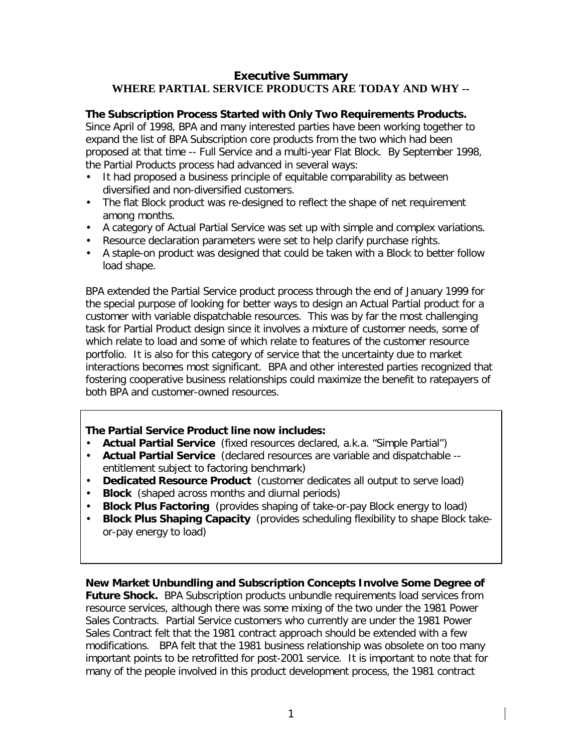#### **Executive Summary WHERE PARTIAL SERVICE PRODUCTS ARE TODAY AND WHY --**

#### **The Subscription Process Started with Only Two Requirements Products.**

Since April of 1998, BPA and many interested parties have been working together to expand the list of BPA Subscription core products from the two which had been proposed at that time -- Full Service and a multi-year Flat Block. By September 1998, the Partial Products process had advanced in several ways:

- It had proposed a business principle of equitable comparability as between diversified and non-diversified customers.
- The flat Block product was re-designed to reflect the shape of net requirement among months.
- A category of Actual Partial Service was set up with simple and complex variations.
- Resource declaration parameters were set to help clarify purchase rights.
- A staple-on product was designed that could be taken with a Block to better follow load shape.

BPA extended the Partial Service product process through the end of January 1999 for the special purpose of looking for better ways to design an Actual Partial product for a customer with variable dispatchable resources. This was by far the most challenging task for Partial Product design since it involves a mixture of customer needs, some of which relate to load and some of which relate to features of the customer resource portfolio. It is also for this category of service that the uncertainty due to market interactions becomes most significant. BPA and other interested parties recognized that fostering cooperative business relationships could maximize the benefit to ratepayers of both BPA and customer-owned resources.

#### **The Partial Service Product line now includes:**

- **Actual Partial Service** (fixed resources declared, a.k.a. "Simple Partial")
- **Actual Partial Service** (declared resources are variable and dispatchable entitlement subject to factoring benchmark)
- **Dedicated Resource Product** (customer dedicates all output to serve load)
- **Block** (shaped across months and diurnal periods)
- **Block Plus Factoring** (provides shaping of take-or-pay Block energy to load)
- **Block Plus Shaping Capacity** (provides scheduling flexibility to shape Block takeor-pay energy to load)

**New Market Unbundling and Subscription Concepts Involve Some Degree of Future Shock.** BPA Subscription products unbundle requirements load services from resource services, although there was some mixing of the two under the 1981 Power Sales Contracts. Partial Service customers who currently are under the 1981 Power Sales Contract felt that the 1981 contract approach should be extended with a few modifications. BPA felt that the 1981 business relationship was obsolete on too many important points to be retrofitted for post-2001 service. It is important to note that for many of the people involved in this product development process, the 1981 contract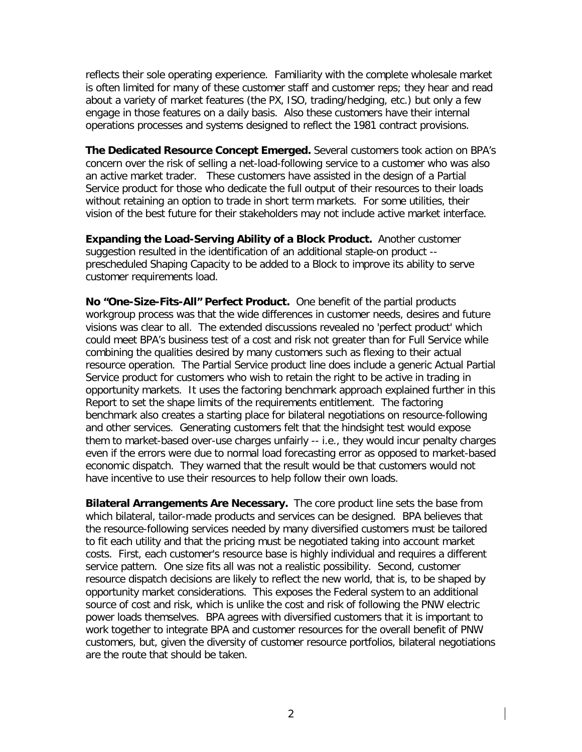reflects their sole operating experience. Familiarity with the complete wholesale market is often limited for many of these customer staff and customer reps; they hear and read about a variety of market features (the PX, ISO, trading/hedging, etc.) but only a few engage in those features on a daily basis. Also these customers have their internal operations processes and systems designed to reflect the 1981 contract provisions.

**The Dedicated Resource Concept Emerged.** Several customers took action on BPA's concern over the risk of selling a net-load-following service to a customer who was also an active market trader. These customers have assisted in the design of a Partial Service product for those who dedicate the full output of their resources to their loads without retaining an option to trade in short term markets. For some utilities, their vision of the best future for their stakeholders may not include active market interface.

**Expanding the Load-Serving Ability of a Block Product.** Another customer suggestion resulted in the identification of an additional staple-on product - prescheduled Shaping Capacity to be added to a Block to improve its ability to serve customer requirements load.

**No "One-Size-Fits-All" Perfect Product.** One benefit of the partial products workgroup process was that the wide differences in customer needs, desires and future visions was clear to all. The extended discussions revealed no 'perfect product' which could meet BPA's business test of a cost and risk not greater than for Full Service while combining the qualities desired by many customers such as flexing to their actual resource operation. The Partial Service product line does include a generic Actual Partial Service product for customers who wish to retain the right to be active in trading in opportunity markets. It uses the factoring benchmark approach explained further in this Report to set the shape limits of the requirements entitlement. The factoring benchmark also creates a starting place for bilateral negotiations on resource-following and other services. Generating customers felt that the hindsight test would expose them to market-based over-use charges unfairly -- i.e., they would incur penalty charges even if the errors were due to normal load forecasting error as opposed to market-based economic dispatch. They warned that the result would be that customers would not have incentive to use their resources to help follow their own loads.

**Bilateral Arrangements Are Necessary.** The core product line sets the base from which bilateral, tailor-made products and services can be designed. BPA believes that the resource-following services needed by many diversified customers must be tailored to fit each utility and that the pricing must be negotiated taking into account market costs. First, each customer's resource base is highly individual and requires a different service pattern. One size fits all was not a realistic possibility. Second, customer resource dispatch decisions are likely to reflect the new world, that is, to be shaped by opportunity market considerations. This exposes the Federal system to an additional source of cost and risk, which is unlike the cost and risk of following the PNW electric power loads themselves. BPA agrees with diversified customers that it is important to work together to integrate BPA and customer resources for the overall benefit of PNW customers, but, given the diversity of customer resource portfolios, bilateral negotiations are the route that should be taken.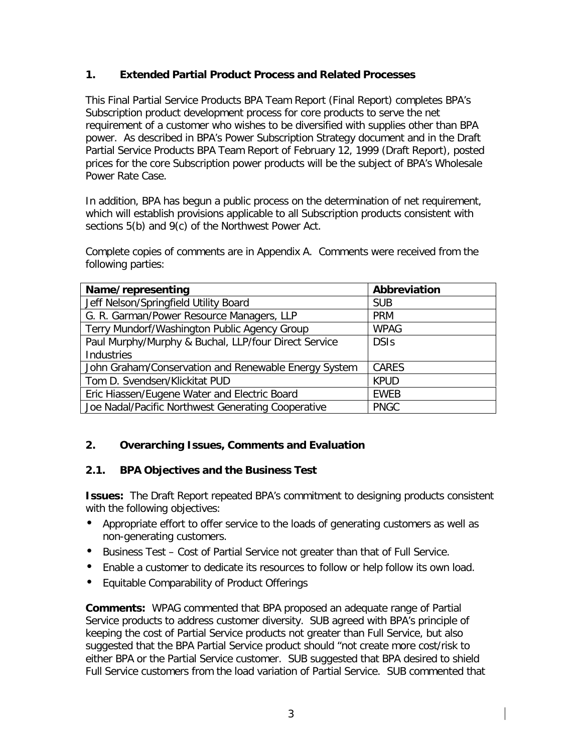## **1. Extended Partial Product Process and Related Processes**

This Final Partial Service Products BPA Team Report (Final Report) completes BPA's Subscription product development process for core products to serve the net requirement of a customer who wishes to be diversified with supplies other than BPA power. As described in BPA's Power Subscription Strategy document and in the Draft Partial Service Products BPA Team Report of February 12, 1999 (Draft Report), posted prices for the core Subscription power products will be the subject of BPA's Wholesale Power Rate Case.

In addition, BPA has begun a public process on the determination of net requirement, which will establish provisions applicable to all Subscription products consistent with sections 5(b) and 9(c) of the Northwest Power Act.

Complete copies of comments are in Appendix A. Comments were received from the following parties:

| Name/representing                                    | Abbreviation |
|------------------------------------------------------|--------------|
| Jeff Nelson/Springfield Utility Board                | <b>SUB</b>   |
| G. R. Garman/Power Resource Managers, LLP            | <b>PRM</b>   |
| Terry Mundorf/Washington Public Agency Group         | <b>WPAG</b>  |
| Paul Murphy/Murphy & Buchal, LLP/four Direct Service | <b>DSIs</b>  |
| Industries                                           |              |
| John Graham/Conservation and Renewable Energy System | CARES        |
| Tom D. Svendsen/Klickitat PUD                        | <b>KPUD</b>  |
| Eric Hiassen/Eugene Water and Electric Board         | <b>EWEB</b>  |
| Joe Nadal/Pacific Northwest Generating Cooperative   | <b>PNGC</b>  |

#### **2. Overarching Issues, Comments and Evaluation**

#### **2.1. BPA Objectives and the Business Test**

**Issues:** The Draft Report repeated BPA's commitment to designing products consistent with the following objectives:

- Appropriate effort to offer service to the loads of generating customers as well as non-generating customers.
- Business Test Cost of Partial Service not greater than that of Full Service.
- Enable a customer to dedicate its resources to follow or help follow its own load.
- Equitable Comparability of Product Offerings

**Comments:** WPAG commented that BPA proposed an adequate range of Partial Service products to address customer diversity.SUB agreed with BPA's principle of keeping the cost of Partial Service products not greater than Full Service, but also suggested that the BPA Partial Service product should "not create more cost/risk to either BPA or the Partial Service customer. SUB suggested that BPA desired to shield Full Service customers from the load variation of Partial Service. SUB commented that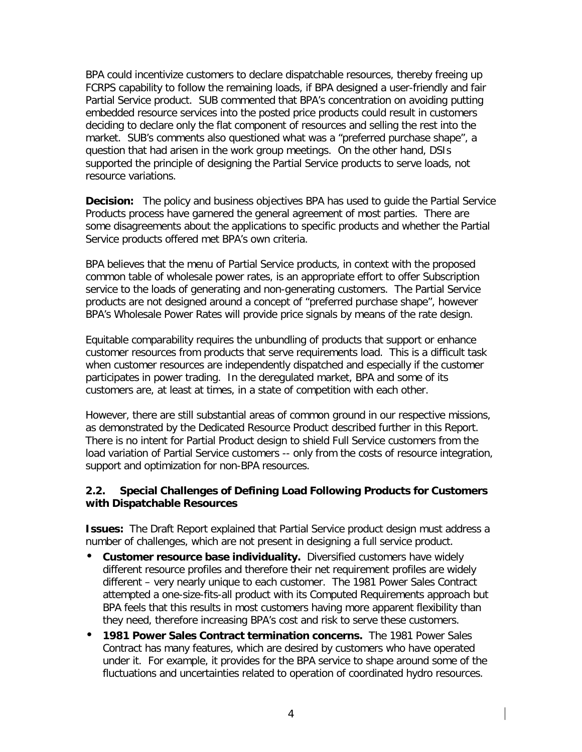BPA could incentivize customers to declare dispatchable resources, thereby freeing up FCRPS capability to follow the remaining loads, if BPA designed a user-friendly and fair Partial Service product. SUB commented that BPA's concentration on avoiding putting embedded resource services into the posted price products could result in customers deciding to declare only the flat component of resources and selling the rest into the market. SUB's comments also questioned what was a "preferred purchase shape", a question that had arisen in the work group meetings. On the other hand, DSIs supported the principle of designing the Partial Service products to serve loads, not resource variations.

**Decision:** The policy and business objectives BPA has used to guide the Partial Service Products process have garnered the general agreement of most parties. There are some disagreements about the applications to specific products and whether the Partial Service products offered met BPA's own criteria.

BPA believes that the menu of Partial Service products, in context with the proposed common table of wholesale power rates, is an appropriate effort to offer Subscription service to the loads of generating and non-generating customers. The Partial Service products are not designed around a concept of "preferred purchase shape", however BPA's Wholesale Power Rates will provide price signals by means of the rate design.

Equitable comparability requires the unbundling of products that support or enhance customer resources from products that serve requirements load. This is a difficult task when customer resources are independently dispatched and especially if the customer participates in power trading. In the deregulated market, BPA and some of its customers are, at least at times, in a state of competition with each other.

However, there are still substantial areas of common ground in our respective missions, as demonstrated by the Dedicated Resource Product described further in this Report. There is no intent for Partial Product design to shield Full Service customers from the load variation of Partial Service customers -- only from the costs of resource integration, support and optimization for non-BPA resources.

#### **2.2. Special Challenges of Defining Load Following Products for Customers with Dispatchable Resources**

**Issues:** The Draft Report explained that Partial Service product design must address a number of challenges, which are not present in designing a full service product.

- **Customer resource base individuality.** Diversified customers have widely different resource profiles and therefore their net requirement profiles are widely different – very nearly unique to each customer. The 1981 Power Sales Contract attempted a one-size-fits-all product with its Computed Requirements approach but BPA feels that this results in most customers having more apparent flexibility than they need, therefore increasing BPA's cost and risk to serve these customers.
- **1981 Power Sales Contract termination concerns.** The 1981 Power Sales Contract has many features, which are desired by customers who have operated under it. For example, it provides for the BPA service to shape around some of the fluctuations and uncertainties related to operation of coordinated hydro resources.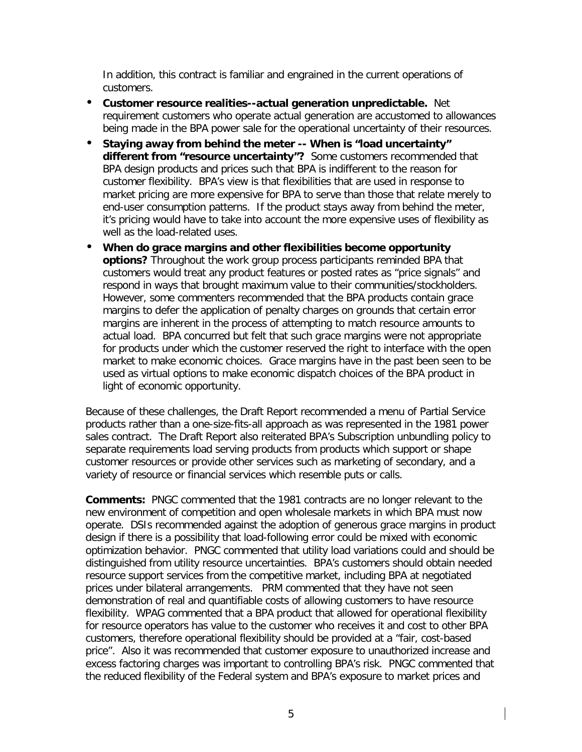In addition, this contract is familiar and engrained in the current operations of customers.

- **Customer resource realities--actual generation unpredictable.** Net requirement customers who operate actual generation are accustomed to allowances being made in the BPA power sale for the operational uncertainty of their resources.
- **Staying away from behind the meter -- When is "load uncertainty" different from "resource uncertainty"?** Some customers recommended that BPA design products and prices such that BPA is indifferent to the reason for customer flexibility. BPA's view is that flexibilities that are used in response to market pricing are more expensive for BPA to serve than those that relate merely to end-user consumption patterns. If the product stays away from behind the meter, it's pricing would have to take into account the more expensive uses of flexibility as well as the load-related uses.
- **When do grace margins and other flexibilities become opportunity options?** Throughout the work group process participants reminded BPA that customers would treat any product features or posted rates as "price signals" and respond in ways that brought maximum value to their communities/stockholders. However, some commenters recommended that the BPA products contain grace margins to defer the application of penalty charges on grounds that certain error margins are inherent in the process of attempting to match resource amounts to actual load. BPA concurred but felt that such grace margins were not appropriate for products under which the customer reserved the right to interface with the open market to make economic choices. Grace margins have in the past been seen to be used as virtual options to make economic dispatch choices of the BPA product in light of economic opportunity.

Because of these challenges, the Draft Report recommended a menu of Partial Service products rather than a one-size-fits-all approach as was represented in the 1981 power sales contract. The Draft Report also reiterated BPA's Subscription unbundling policy to separate requirements load serving products from products which support or shape customer resources or provide other services such as marketing of secondary, and a variety of resource or financial services which resemble puts or calls.

**Comments:** PNGC commented that the 1981 contracts are no longer relevant to the new environment of competition and open wholesale markets in which BPA must now operate. DSIs recommended against the adoption of generous grace margins in product design if there is a possibility that load-following error could be mixed with economic optimization behavior. PNGC commented that utility load variations could and should be distinguished from utility resource uncertainties. BPA's customers should obtain needed resource support services from the competitive market, including BPA at negotiated prices under bilateral arrangements.PRM commented that they have not seen demonstration of real and quantifiable costs of allowing customers to have resource flexibility. WPAG commented that a BPA product that allowed for operational flexibility for resource operators has value to the customer who receives it and cost to other BPA customers, therefore operational flexibility should be provided at a "fair, cost-based price". Also it was recommended that customer exposure to unauthorized increase and excess factoring charges was important to controlling BPA's risk. PNGC commented that the reduced flexibility of the Federal system and BPA's exposure to market prices and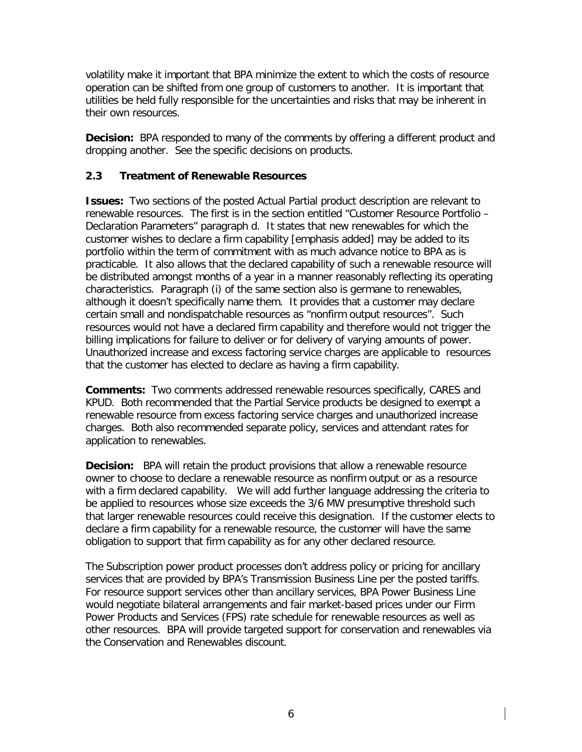volatility make it important that BPA minimize the extent to which the costs of resource operation can be shifted from one group of customers to another. It is important that utilities be held fully responsible for the uncertainties and risks that may be inherent in their own resources.

**Decision:** BPA responded to many of the comments by offering a different product and dropping another. See the specific decisions on products.

#### **2.3 Treatment of Renewable Resources**

**Issues:** Two sections of the posted Actual Partial product description are relevant to renewable resources. The first is in the section entitled "Customer Resource Portfolio – Declaration Parameters" paragraph d. It states that new renewables for which *the customer wishes to declare a firm capability* [emphasis added] may be added to its portfolio within the term of commitment with as much advance notice to BPA as is practicable. It also allows that the declared capability of such a renewable resource will be distributed amongst months of a year in a manner reasonably reflecting its operating characteristics. Paragraph (i) of the same section also is germane to renewables, although it doesn't specifically name them. It provides that a customer may declare certain small and nondispatchable resources as "nonfirm output resources". Such resources would not have a declared firm capability and therefore would not trigger the billing implications for failure to deliver or for delivery of varying amounts of power. Unauthorized increase and excess factoring service charges are applicable to resources that the customer has elected to declare as having a firm capability.

**Comments:** Two comments addressed renewable resources specifically, CARES and KPUD. Both recommended that the Partial Service products be designed to exempt a renewable resource from excess factoring service charges and unauthorized increase charges. Both also recommended separate policy, services and attendant rates for application to renewables.

**Decision:** BPA will retain the product provisions that allow a renewable resource owner to choose to declare a renewable resource as nonfirm output or as a resource with a firm declared capability. We will add further language addressing the criteria to be applied to resources whose size exceeds the 3/6 MW presumptive threshold such that larger renewable resources could receive this designation. If the customer elects to declare a firm capability for a renewable resource, the customer will have the same obligation to support that firm capability as for any other declared resource.

The Subscription power product processes don't address policy or pricing for ancillary services that are provided by BPA's Transmission Business Line per the posted tariffs. For resource support services other than ancillary services, BPA Power Business Line would negotiate bilateral arrangements and fair market-based prices under our Firm Power Products and Services (FPS) rate schedule for renewable resources as well as other resources. BPA will provide targeted support for conservation and renewables via the Conservation and Renewables discount.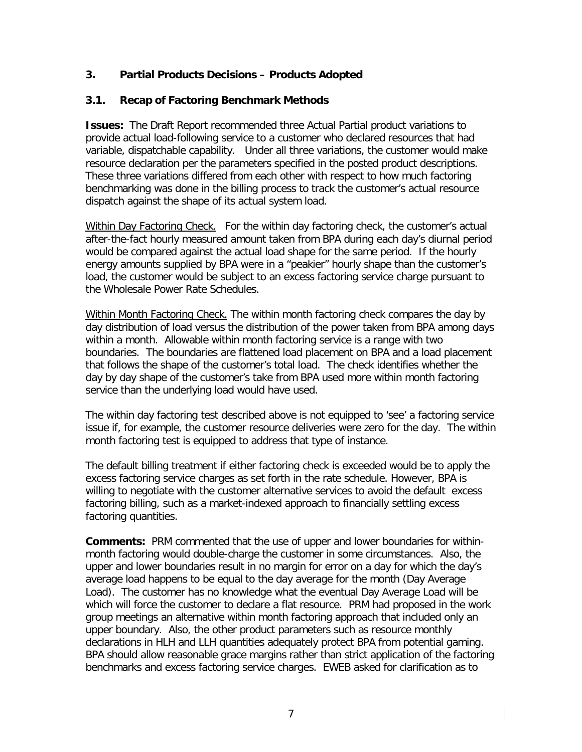### **3. Partial Products Decisions – Products Adopted**

#### **3.1. Recap of Factoring Benchmark Methods**

**Issues:** The Draft Report recommended three Actual Partial product variations to provide actual load-following service to a customer who declared resources that had variable, dispatchable capability. Under all three variations, the customer would make resource declaration per the parameters specified in the posted product descriptions. These three variations differed from each other with respect to how much factoring benchmarking was done in the billing process to track the customer's actual resource dispatch against the shape of its actual system load.

Within Day Factoring Check.For the within day factoring check, the customer's actual after-the-fact hourly measured amount taken from BPA during each day's diurnal period would be compared against the actual load shape for the same period. If the hourly energy amounts supplied by BPA were in a "peakier" hourly shape than the customer's load, the customer would be subject to an excess factoring service charge pursuant to the Wholesale Power Rate Schedules.

Within Month Factoring Check. The within month factoring check compares the day by day distribution of load versus the distribution of the power taken from BPA among days within a month. Allowable within month factoring service is a range with two boundaries. The boundaries are flattened load placement on BPA and a load placement that follows the shape of the customer's total load. The check identifies whether the day by day shape of the customer's take from BPA used more within month factoring service than the underlying load would have used.

The within day factoring test described above is not equipped to 'see' a factoring service issue if, for example, the customer resource deliveries were zero for the day. The within month factoring test is equipped to address that type of instance.

The default billing treatment if either factoring check is exceeded would be to apply the excess factoring service charges as set forth in the rate schedule. However, BPA is willing to negotiate with the customer alternative services to avoid the default excess factoring billing, such as a market-indexed approach to financially settling excess factoring quantities.

**Comments:** PRM commented that the use of upper and lower boundaries for withinmonth factoring would double-charge the customer in some circumstances. Also, the upper and lower boundaries result in no margin for error on a day for which the day's average load happens to be equal to the day average for the month (Day Average Load). The customer has no knowledge what the eventual Day Average Load will be which will force the customer to declare a flat resource. PRM had proposed in the work group meetings an alternative within month factoring approach that included only an upper boundary. Also, the other product parameters such as resource monthly declarations in HLH and LLH quantities adequately protect BPA from potential gaming. BPA should allow reasonable grace margins rather than strict application of the factoring benchmarks and excess factoring service charges. EWEB asked for clarification as to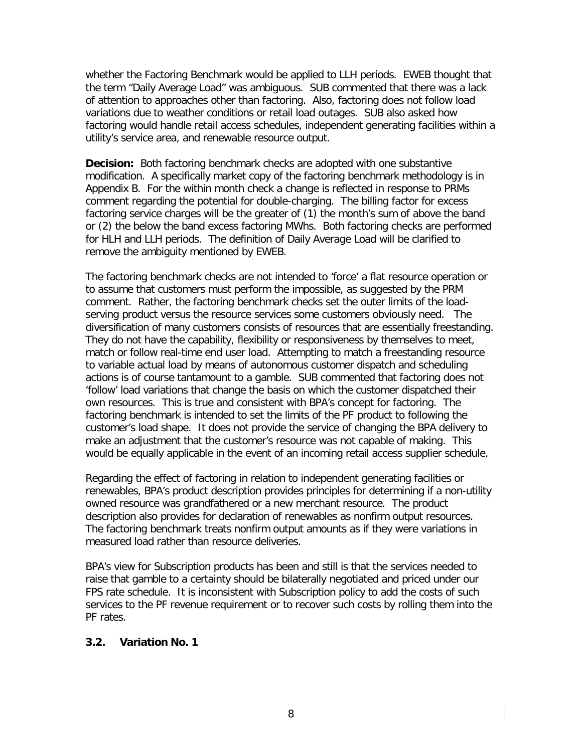whether the Factoring Benchmark would be applied to LLH periods. EWEB thought that the term "Daily Average Load" was ambiguous. SUB commented that there was a lack of attention to approaches other than factoring. Also, factoring does not follow load variations due to weather conditions or retail load outages. SUB also asked how factoring would handle retail access schedules, independent generating facilities within a utility's service area, and renewable resource output.

**Decision:** Both factoring benchmark checks are adopted with one substantive modification. A specifically market copy of the factoring benchmark methodology is in Appendix B. For the within month check a change is reflected in response to PRMs comment regarding the potential for double-charging. The billing factor for excess factoring service charges will be the greater of (1) the month's sum of above the band or (2) the below the band excess factoring MWhs. Both factoring checks are performed for HLH and LLH periods. The definition of Daily Average Load will be clarified to remove the ambiguity mentioned by EWEB.

The factoring benchmark checks are not intended to 'force' a flat resource operation or to assume that customers must perform the impossible, as suggested by the PRM comment. Rather, the factoring benchmark checks set the outer limits of the loadserving product versus the resource services some customers obviously need. The diversification of many customers consists of resources that are essentially freestanding. They do not have the capability, flexibility or responsiveness by themselves to meet, match or follow real-time end user load. Attempting to match a freestanding resource to variable actual load by means of autonomous customer dispatch and scheduling actions is of course tantamount to a gamble. SUB commented that factoring does not 'follow' load variations that change the basis on which the customer dispatched their own resources. This is true and consistent with BPA's concept for factoring. The factoring benchmark is intended to set the limits of the PF product to following the customer's load shape. It does not provide the service of changing the BPA delivery to make an adjustment that the customer's resource was not capable of making. This would be equally applicable in the event of an incoming retail access supplier schedule.

Regarding the effect of factoring in relation to independent generating facilities or renewables, BPA's product description provides principles for determining if a non-utility owned resource was grandfathered or a new merchant resource. The product description also provides for declaration of renewables as nonfirm output resources. The factoring benchmark treats nonfirm output amounts as if they were variations in measured load rather than resource deliveries.

BPA's view for Subscription products has been and still is that the services needed to raise that gamble to a certainty should be bilaterally negotiated and priced under our FPS rate schedule. It is inconsistent with Subscription policy to add the costs of such services to the PF revenue requirement or to recover such costs by rolling them into the PF rates.

#### **3.2. Variation No. 1**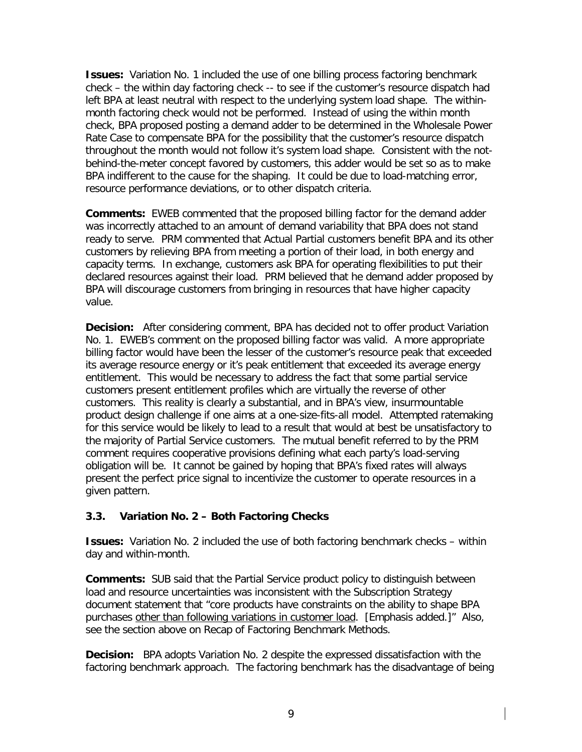**Issues:** Variation No. 1 included the use of one billing process factoring benchmark check – the within day factoring check -- to see if the customer's resource dispatch had left BPA at least neutral with respect to the underlying system load shape. The withinmonth factoring check would not be performed. Instead of using the within month check, BPA proposed posting a demand adder to be determined in the Wholesale Power Rate Case to compensate BPA for the possibility that the customer's resource dispatch throughout the month would not follow it's system load shape. Consistent with the notbehind-the-meter concept favored by customers, this adder would be set so as to make BPA indifferent to the cause for the shaping. It could be due to load-matching error, resource performance deviations, or to other dispatch criteria.

**Comments:** EWEB commented that the proposed billing factor for the demand adder was incorrectly attached to an amount of demand variability that BPA does not stand ready to serve. PRM commented that Actual Partial customers benefit BPA and its other customers by relieving BPA from meeting a portion of their load, in both energy and capacity terms. In exchange, customers ask BPA for operating flexibilities to put their declared resources against their load. PRM believed that he demand adder proposed by BPA will discourage customers from bringing in resources that have higher capacity value.

**Decision:** After considering comment, BPA has decided not to offer product Variation No. 1. EWEB's comment on the proposed billing factor was valid. A more appropriate billing factor would have been the lesser of the customer's resource peak that exceeded its average resource energy or it's peak entitlement that exceeded its average energy entitlement. This would be necessary to address the fact that some partial service customers present entitlement profiles which are virtually the reverse of other customers. This reality is clearly a substantial, and in BPA's view, insurmountable product design challenge if one aims at a one-size-fits-all model. Attempted ratemaking for this service would be likely to lead to a result that would at best be unsatisfactory to the majority of Partial Service customers. The mutual benefit referred to by the PRM comment requires cooperative provisions defining what each party's load-serving obligation will be. It cannot be gained by hoping that BPA's fixed rates will always present the perfect price signal to incentivize the customer to operate resources in a given pattern.

# **3.3. Variation No. 2 – Both Factoring Checks**

**Issues:** Variation No. 2 included the use of both factoring benchmark checks – within day and within-month.

**Comments:** SUB said that the Partial Service product policy to distinguish between load and resource uncertainties was inconsistent with the Subscription Strategy document statement that "core products have constraints on the ability to shape BPA purchases other than following variations in customer load. [Emphasis added.]" Also, see the section above on Recap of Factoring Benchmark Methods.

**Decision:** BPA adopts Variation No. 2 despite the expressed dissatisfaction with the factoring benchmark approach. The factoring benchmark has the disadvantage of being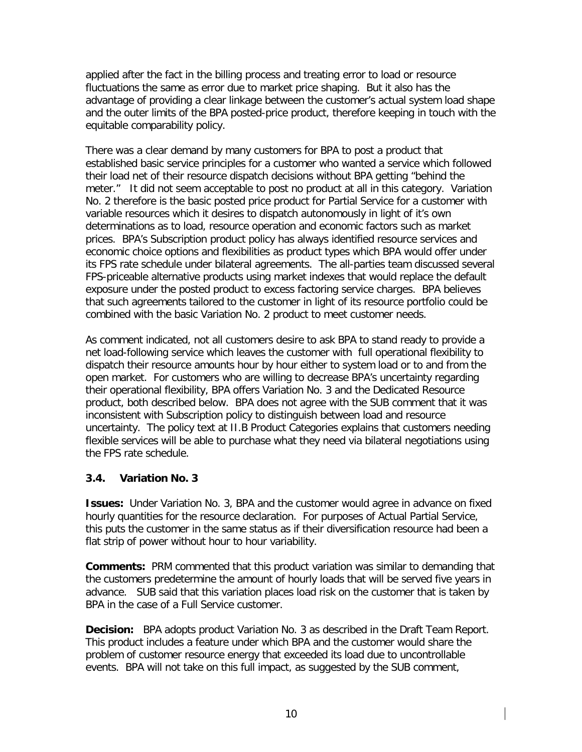applied after the fact in the billing process and treating error to load or resource fluctuations the same as error due to market price shaping. But it also has the advantage of providing a clear linkage between the customer's actual system load shape and the outer limits of the BPA posted-price product, therefore keeping in touch with the equitable comparability policy.

There was a clear demand by many customers for BPA to post a product that established basic service principles for a customer who wanted a service which followed their load net of their resource dispatch decisions without BPA getting "behind the meter." It did not seem acceptable to post no product at all in this category. Variation No. 2 therefore is the basic posted price product for Partial Service for a customer with variable resources which it desires to dispatch autonomously in light of it's own determinations as to load, resource operation and economic factors such as market prices. BPA's Subscription product policy has always identified resource services and economic choice options and flexibilities as product types which BPA would offer under its FPS rate schedule under bilateral agreements. The all-parties team discussed several FPS-priceable alternative products using market indexes that would replace the default exposure under the posted product to excess factoring service charges. BPA believes that such agreements tailored to the customer in light of its resource portfolio could be combined with the basic Variation No. 2 product to meet customer needs.

As comment indicated, not all customers desire to ask BPA to stand ready to provide a net load-following service which leaves the customer with full operational flexibility to dispatch their resource amounts hour by hour either to system load or to and from the open market. For customers who are willing to decrease BPA's uncertainty regarding their operational flexibility, BPA offers Variation No. 3 and the Dedicated Resource product, both described below. BPA does not agree with the SUB comment that it was inconsistent with Subscription policy to distinguish between load and resource uncertainty. The policy text at II.B Product Categories explains that customers needing flexible services will be able to purchase what they need via bilateral negotiations using the FPS rate schedule.

#### **3.4. Variation No. 3**

**Issues:** Under Variation No. 3, BPA and the customer would agree in advance on fixed hourly quantities for the resource declaration. For purposes of Actual Partial Service, this puts the customer in the same status as if their diversification resource had been a flat strip of power without hour to hour variability.

**Comments:** PRM commented that this product variation was similar to demanding that the customers predetermine the amount of hourly loads that will be served five years in advance. SUB said that this variation places load risk on the customer that is taken by BPA in the case of a Full Service customer.

**Decision:** BPA adopts product Variation No. 3 as described in the Draft Team Report. This product includes a feature under which BPA and the customer would share the problem of customer resource energy that exceeded its load due to uncontrollable events. BPA will not take on this full impact, as suggested by the SUB comment,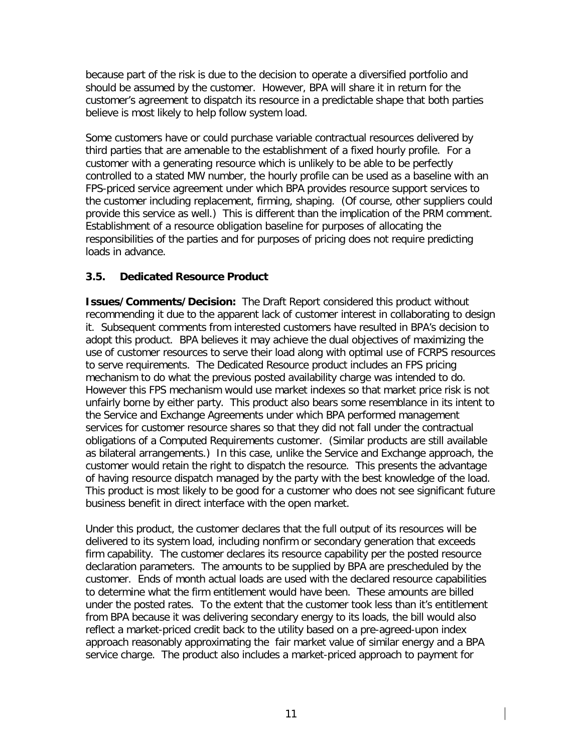because part of the risk is due to the decision to operate a diversified portfolio and should be assumed by the customer. However, BPA will share it in return for the customer's agreement to dispatch its resource in a predictable shape that both parties believe is most likely to help follow system load.

Some customers have or could purchase variable contractual resources delivered by third parties that are amenable to the establishment of a fixed hourly profile. For a customer with a generating resource which is unlikely to be able to be perfectly controlled to a stated MW number, the hourly profile can be used as a baseline with an FPS-priced service agreement under which BPA provides resource support services to the customer including replacement, firming, shaping. (Of course, other suppliers could provide this service as well.) This is different than the implication of the PRM comment. Establishment of a resource obligation baseline for purposes of allocating the responsibilities of the parties and for purposes of pricing does not require predicting loads in advance.

## **3.5. Dedicated Resource Product**

**Issues/Comments/Decision:** The Draft Report considered this product without recommending it due to the apparent lack of customer interest in collaborating to design it. Subsequent comments from interested customers have resulted in BPA's decision to adopt this product. BPA believes it may achieve the dual objectives of maximizing the use of customer resources to serve their load along with optimal use of FCRPS resources to serve requirements. The Dedicated Resource product includes an FPS pricing mechanism to do what the previous posted availability charge was intended to do. However this FPS mechanism would use market indexes so that market price risk is not unfairly borne by either party. This product also bears some resemblance in its intent to the Service and Exchange Agreements under which BPA performed management services for customer resource shares so that they did not fall under the contractual obligations of a Computed Requirements customer. (Similar products are still available as bilateral arrangements.) In this case, unlike the Service and Exchange approach, the customer would retain the right to dispatch the resource. This presents the advantage of having resource dispatch managed by the party with the best knowledge of the load. This product is most likely to be good for a customer who does not see significant future business benefit in direct interface with the open market.

Under this product, the customer declares that the full output of its resources will be delivered to its system load, including nonfirm or secondary generation that exceeds firm capability. The customer declares its resource capability per the posted resource declaration parameters. The amounts to be supplied by BPA are prescheduled by the customer. Ends of month actual loads are used with the declared resource capabilities to determine what the firm entitlement would have been. These amounts are billed under the posted rates. To the extent that the customer took less than it's entitlement from BPA because it was delivering secondary energy to its loads, the bill would also reflect a market-priced credit back to the utility based on a pre-agreed-upon index approach reasonably approximating the fair market value of similar energy and a BPA service charge. The product also includes a market-priced approach to payment for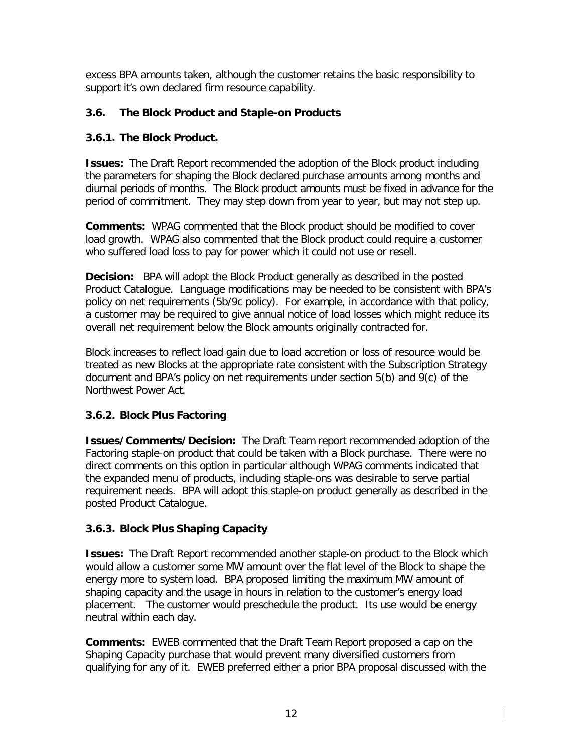excess BPA amounts taken, although the customer retains the basic responsibility to support it's own declared firm resource capability.

# **3.6. The Block Product and Staple-on Products**

# **3.6.1. The Block Product.**

**Issues:** The Draft Report recommended the adoption of the Block product including the parameters for shaping the Block declared purchase amounts among months and diurnal periods of months. The Block product amounts must be fixed in advance for the period of commitment. They may step down from year to year, but may not step up.

**Comments:** WPAG commented that the Block product should be modified to cover load growth. WPAG also commented that the Block product could require a customer who suffered load loss to pay for power which it could not use or resell.

**Decision:** BPA will adopt the Block Product generally as described in the posted Product Catalogue. Language modifications may be needed to be consistent with BPA's policy on net requirements (5b/9c policy). For example, in accordance with that policy, a customer may be required to give annual notice of load losses which might reduce its overall net requirement below the Block amounts originally contracted for.

Block increases to reflect load gain due to load accretion or loss of resource would be treated as new Blocks at the appropriate rate consistent with the Subscription Strategy document and BPA's policy on net requirements under section 5(b) and 9(c) of the Northwest Power Act.

# **3.6.2. Block Plus Factoring**

**Issues/Comments/Decision:** The Draft Team report recommended adoption of the Factoring staple-on product that could be taken with a Block purchase. There were no direct comments on this option in particular although WPAG comments indicated that the expanded menu of products, including staple-ons was desirable to serve partial requirement needs. BPA will adopt this staple-on product generally as described in the posted Product Catalogue.

# **3.6.3. Block Plus Shaping Capacity**

**Issues:** The Draft Report recommended another staple-on product to the Block which would allow a customer some MW amount over the flat level of the Block to shape the energy more to system load. BPA proposed limiting the maximum MW amount of shaping capacity and the usage in hours in relation to the customer's energy load placement. The customer would preschedule the product. Its use would be energy neutral within each day.

**Comments:** EWEB commented that the Draft Team Report proposed a cap on the Shaping Capacity purchase that would prevent many diversified customers from qualifying for any of it. EWEB preferred either a prior BPA proposal discussed with the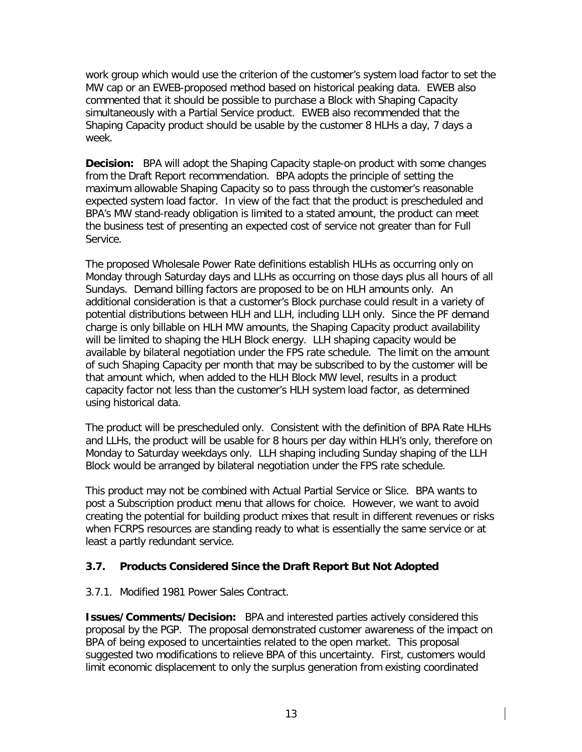work group which would use the criterion of the customer's system load factor to set the MW cap or an EWEB-proposed method based on historical peaking data. EWEB also commented that it should be possible to purchase a Block with Shaping Capacity simultaneously with a Partial Service product. EWEB also recommended that the Shaping Capacity product should be usable by the customer 8 HLHs a day, 7 days a week.

**Decision:** BPA will adopt the Shaping Capacity staple-on product with some changes from the Draft Report recommendation. BPA adopts the principle of setting the maximum allowable Shaping Capacity so to pass through the customer's reasonable expected system load factor. In view of the fact that the product is prescheduled and BPA's MW stand-ready obligation is limited to a stated amount, the product can meet the business test of presenting an expected cost of service not greater than for Full Service.

The proposed Wholesale Power Rate definitions establish HLHs as occurring only on Monday through Saturday days and LLHs as occurring on those days plus all hours of all Sundays. Demand billing factors are proposed to be on HLH amounts only. An additional consideration is that a customer's Block purchase could result in a variety of potential distributions between HLH and LLH, including LLH only. Since the PF demand charge is only billable on HLH MW amounts, the Shaping Capacity product availability will be limited to shaping the HLH Block energy. LLH shaping capacity would be available by bilateral negotiation under the FPS rate schedule. The limit on the amount of such Shaping Capacity per month that may be subscribed to by the customer will be that amount which, when added to the HLH Block MW level, results in a product capacity factor not less than the customer's HLH system load factor, as determined using historical data.

The product will be prescheduled only. Consistent with the definition of BPA Rate HLHs and LLHs, the product will be usable for 8 hours per day within HLH's only, therefore on Monday to Saturday weekdays only. LLH shaping including Sunday shaping of the LLH Block would be arranged by bilateral negotiation under the FPS rate schedule.

This product may not be combined with Actual Partial Service or Slice. BPA wants to post a Subscription product menu that allows for choice. However, we want to avoid creating the potential for building product mixes that result in different revenues or risks when FCRPS resources are standing ready to what is essentially the same service or at least a partly redundant service.

# **3.7. Products Considered Since the Draft Report But Not Adopted**

#### 3.7.1. Modified 1981 Power Sales Contract.

**Issues/Comments/Decision:** BPA and interested parties actively considered this proposal by the PGP. The proposal demonstrated customer awareness of the impact on BPA of being exposed to uncertainties related to the open market. This proposal suggested two modifications to relieve BPA of this uncertainty. First, customers would limit economic displacement to only the surplus generation from existing coordinated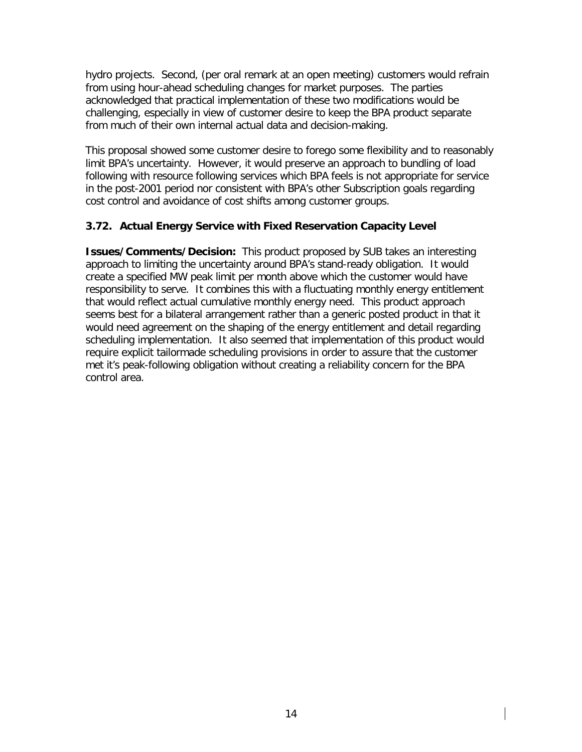hydro projects. Second, (per oral remark at an open meeting) customers would refrain from using hour-ahead scheduling changes for market purposes. The parties acknowledged that practical implementation of these two modifications would be challenging, especially in view of customer desire to keep the BPA product separate from much of their own internal actual data and decision-making.

This proposal showed some customer desire to forego some flexibility and to reasonably limit BPA's uncertainty. However, it would preserve an approach to bundling of load following with resource following services which BPA feels is not appropriate for service in the post-2001 period nor consistent with BPA's other Subscription goals regarding cost control and avoidance of cost shifts among customer groups.

#### **3.72. Actual Energy Service with Fixed Reservation Capacity Level**

**Issues/Comments/Decision:** This product proposed by SUB takes an interesting approach to limiting the uncertainty around BPA's stand-ready obligation. It would create a specified MW peak limit per month above which the customer would have responsibility to serve. It combines this with a fluctuating monthly energy entitlement that would reflect actual cumulative monthly energy need. This product approach seems best for a bilateral arrangement rather than a generic posted product in that it would need agreement on the shaping of the energy entitlement and detail regarding scheduling implementation. It also seemed that implementation of this product would require explicit tailormade scheduling provisions in order to assure that the customer met it's peak-following obligation without creating a reliability concern for the BPA control area.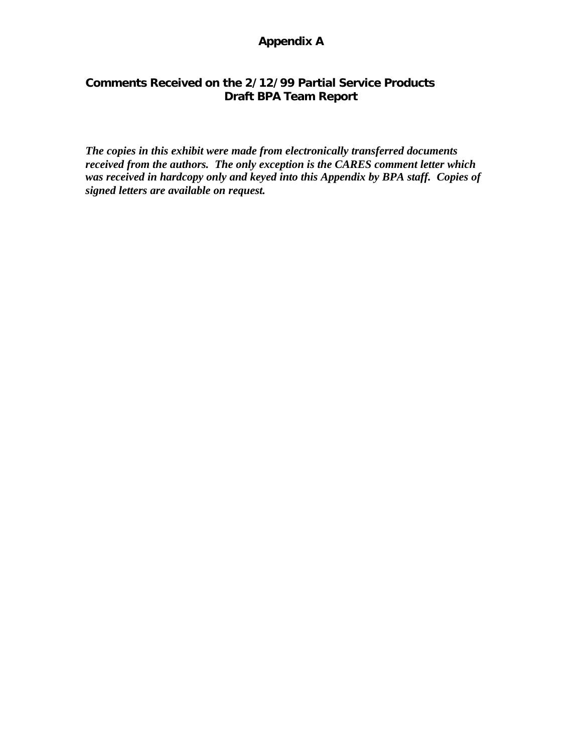# **Appendix A**

## **Comments Received on the 2/12/99 Partial Service Products Draft BPA Team Report**

*The copies in this exhibit were made from electronically transferred documents received from the authors. The only exception is the CARES comment letter which was received in hardcopy only and keyed into this Appendix by BPA staff. Copies of signed letters are available on request.*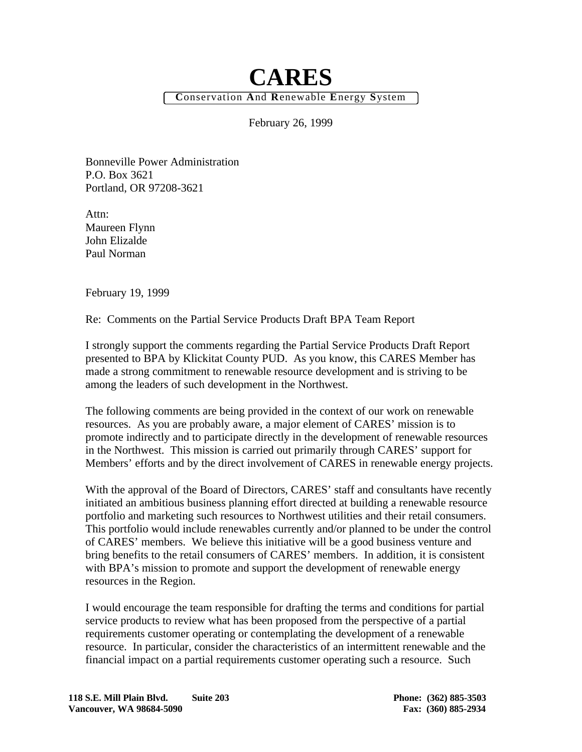# **CARES C**onservation **A**nd **R**enewable **E**nergy **S**ystem

February 26, 1999

Bonneville Power Administration P.O. Box 3621 Portland, OR 97208-3621

Attn: Maureen Flynn John Elizalde Paul Norman

February 19, 1999

Re: Comments on the Partial Service Products Draft BPA Team Report

I strongly support the comments regarding the Partial Service Products Draft Report presented to BPA by Klickitat County PUD. As you know, this CARES Member has made a strong commitment to renewable resource development and is striving to be among the leaders of such development in the Northwest.

The following comments are being provided in the context of our work on renewable resources. As you are probably aware, a major element of CARES' mission is to promote indirectly and to participate directly in the development of renewable resources in the Northwest. This mission is carried out primarily through CARES' support for Members' efforts and by the direct involvement of CARES in renewable energy projects.

With the approval of the Board of Directors, CARES' staff and consultants have recently initiated an ambitious business planning effort directed at building a renewable resource portfolio and marketing such resources to Northwest utilities and their retail consumers. This portfolio would include renewables currently and/or planned to be under the control of CARES' members. We believe this initiative will be a good business venture and bring benefits to the retail consumers of CARES' members. In addition, it is consistent with BPA's mission to promote and support the development of renewable energy resources in the Region.

I would encourage the team responsible for drafting the terms and conditions for partial service products to review what has been proposed from the perspective of a partial requirements customer operating or contemplating the development of a renewable resource. In particular, consider the characteristics of an intermittent renewable and the financial impact on a partial requirements customer operating such a resource. Such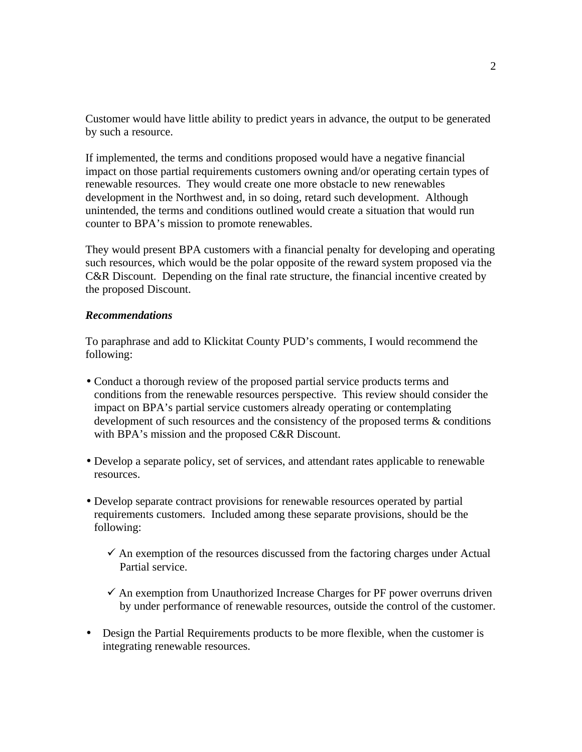Customer would have little ability to predict years in advance, the output to be generated by such a resource.

If implemented, the terms and conditions proposed would have a negative financial impact on those partial requirements customers owning and/or operating certain types of renewable resources. They would create one more obstacle to new renewables development in the Northwest and, in so doing, retard such development. Although unintended, the terms and conditions outlined would create a situation that would run counter to BPA's mission to promote renewables.

They would present BPA customers with a financial penalty for developing and operating such resources, which would be the polar opposite of the reward system proposed via the C&R Discount. Depending on the final rate structure, the financial incentive created by the proposed Discount.

#### *Recommendations*

To paraphrase and add to Klickitat County PUD's comments, I would recommend the following:

- Conduct a thorough review of the proposed partial service products terms and conditions from the renewable resources perspective. This review should consider the impact on BPA's partial service customers already operating or contemplating development of such resources and the consistency of the proposed terms & conditions with BPA's mission and the proposed C&R Discount.
- Develop a separate policy, set of services, and attendant rates applicable to renewable resources.
- Develop separate contract provisions for renewable resources operated by partial requirements customers. Included among these separate provisions, should be the following:
	- $\checkmark$  An exemption of the resources discussed from the factoring charges under Actual Partial service.
	- $\checkmark$  An exemption from Unauthorized Increase Charges for PF power overruns driven by under performance of renewable resources, outside the control of the customer.
- Design the Partial Requirements products to be more flexible, when the customer is integrating renewable resources.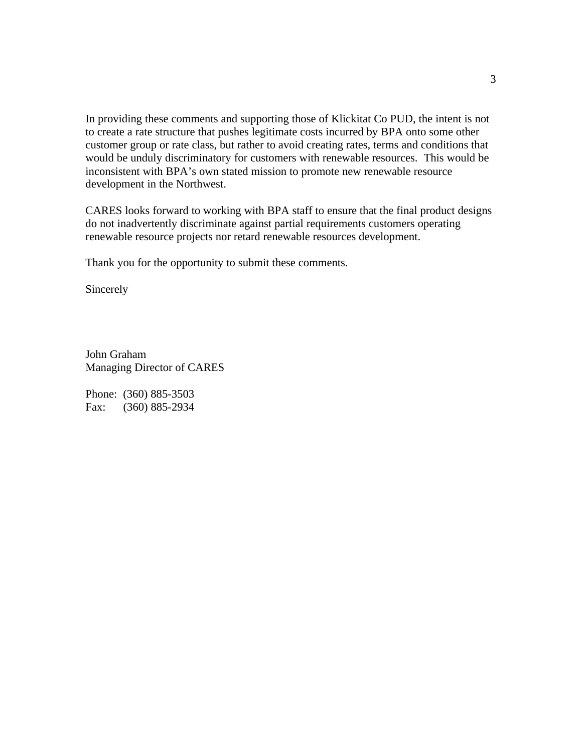In providing these comments and supporting those of Klickitat Co PUD, the intent is not to create a rate structure that pushes legitimate costs incurred by BPA onto some other customer group or rate class, but rather to avoid creating rates, terms and conditions that would be unduly discriminatory for customers with renewable resources. This would be inconsistent with BPA's own stated mission to promote new renewable resource development in the Northwest.

CARES looks forward to working with BPA staff to ensure that the final product designs do not inadvertently discriminate against partial requirements customers operating renewable resource projects nor retard renewable resources development.

Thank you for the opportunity to submit these comments.

Sincerely

John Graham Managing Director of CARES

Phone: (360) 885-3503 Fax: (360) 885-2934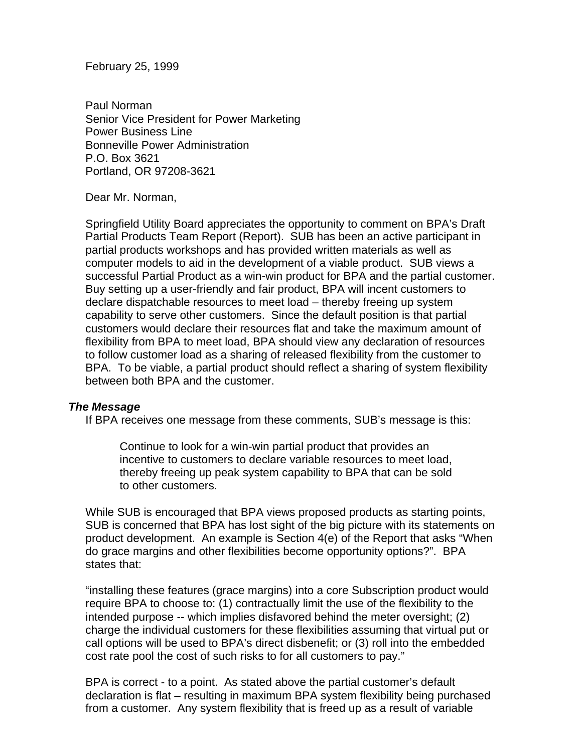February 25, 1999

Paul Norman Senior Vice President for Power Marketing Power Business Line Bonneville Power Administration P.O. Box 3621 Portland, OR 97208-3621

Dear Mr. Norman,

Springfield Utility Board appreciates the opportunity to comment on BPA's Draft Partial Products Team Report (Report). SUB has been an active participant in partial products workshops and has provided written materials as well as computer models to aid in the development of a viable product. SUB views a successful Partial Product as a win-win product for BPA and the partial customer. Buy setting up a user-friendly and fair product, BPA will incent customers to declare dispatchable resources to meet load – thereby freeing up system capability to serve other customers. Since the default position is that partial customers would declare their resources flat and take the maximum amount of flexibility from BPA to meet load, BPA should view any declaration of resources to follow customer load as a sharing of released flexibility from the customer to BPA. To be viable, a partial product should reflect a sharing of system flexibility between both BPA and the customer.

#### *The Message*

If BPA receives one message from these comments, SUB's message is this:

Continue to look for a win-win partial product that provides an incentive to customers to declare variable resources to meet load, thereby freeing up peak system capability to BPA that can be sold to other customers.

While SUB is encouraged that BPA views proposed products as starting points, SUB is concerned that BPA has lost sight of the big picture with its statements on product development. An example is Section 4(e) of the Report that asks "When do grace margins and other flexibilities become opportunity options?". BPA states that:

"installing these features (grace margins) into a core Subscription product would require BPA to choose to: (1) contractually limit the use of the flexibility to the intended purpose -- which implies disfavored behind the meter oversight; (2) charge the individual customers for these flexibilities assuming that virtual put or call options will be used to BPA's direct disbenefit; or (3) roll into the embedded cost rate pool the cost of such risks to for all customers to pay."

BPA is correct - to a point. As stated above the partial customer's default declaration is flat – resulting in maximum BPA system flexibility being purchased from a customer. Any system flexibility that is freed up as a result of variable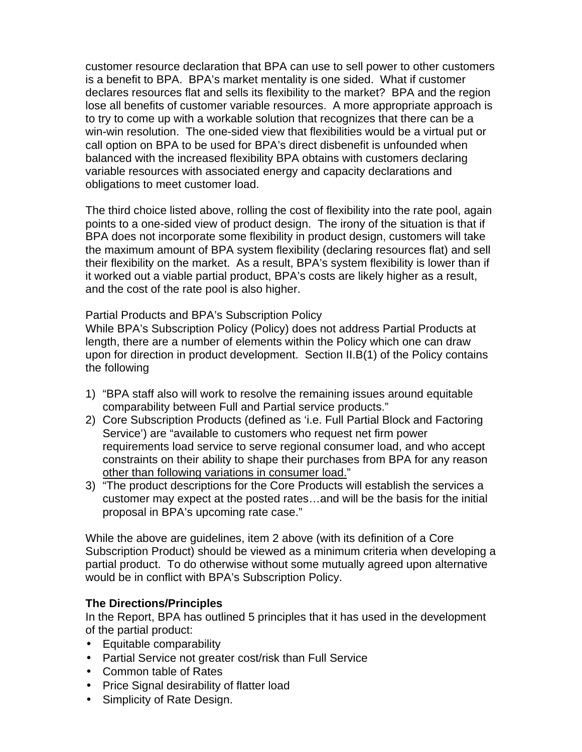customer resource declaration that BPA can use to sell power to other customers is a benefit to BPA. BPA's market mentality is one sided. What if customer declares resources flat and sells its flexibility to the market? BPA and the region lose all benefits of customer variable resources. A more appropriate approach is to try to come up with a workable solution that recognizes that there can be a win-win resolution. The one-sided view that flexibilities would be a virtual put or call option on BPA to be used for BPA's direct disbenefit is unfounded when balanced with the increased flexibility BPA obtains with customers declaring variable resources with associated energy and capacity declarations and obligations to meet customer load.

The third choice listed above, rolling the cost of flexibility into the rate pool, again points to a one-sided view of product design. The irony of the situation is that if BPA does not incorporate some flexibility in product design, customers will take the maximum amount of BPA system flexibility (declaring resources flat) and sell their flexibility on the market. As a result, BPA's system flexibility is lower than if it worked out a viable partial product, BPA's costs are likely higher as a result, and the cost of the rate pool is also higher.

Partial Products and BPA's Subscription Policy

While BPA's Subscription Policy (Policy) does not address Partial Products at length, there are a number of elements within the Policy which one can draw upon for direction in product development. Section II.B(1) of the Policy contains the following

- 1) "BPA staff also will work to resolve the remaining issues around equitable comparability between Full and Partial service products."
- 2) Core Subscription Products (defined as 'i.e. Full Partial Block and Factoring Service') are "available to customers who request net firm power requirements load service to serve regional consumer load, and who accept constraints on their ability to shape their purchases from BPA for any reason other than following variations in consumer load."
- 3) "The product descriptions for the Core Products will establish the services a customer may expect at the posted rates…and will be the basis for the initial proposal in BPA's upcoming rate case."

While the above are guidelines, item 2 above (with its definition of a Core Subscription Product) should be viewed as a minimum criteria when developing a partial product. To do otherwise without some mutually agreed upon alternative would be in conflict with BPA's Subscription Policy.

#### **The Directions/Principles**

In the Report, BPA has outlined 5 principles that it has used in the development of the partial product:

- Equitable comparability
- Partial Service not greater cost/risk than Full Service
- Common table of Rates
- Price Signal desirability of flatter load
- Simplicity of Rate Design.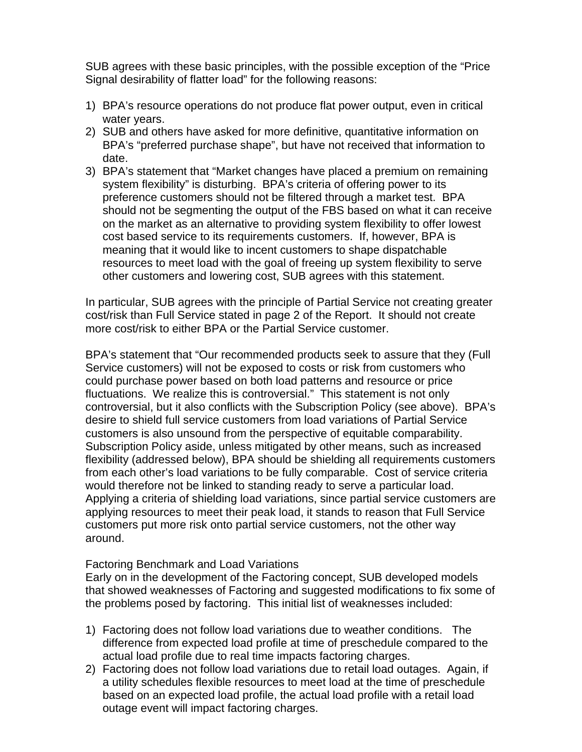SUB agrees with these basic principles, with the possible exception of the "Price Signal desirability of flatter load" for the following reasons:

- 1) BPA's resource operations do not produce flat power output, even in critical water years.
- 2) SUB and others have asked for more definitive, quantitative information on BPA's "preferred purchase shape", but have not received that information to date.
- 3) BPA's statement that "Market changes have placed a premium on remaining system flexibility" is disturbing. BPA's criteria of offering power to its preference customers should not be filtered through a market test. BPA should not be segmenting the output of the FBS based on what it can receive on the market as an alternative to providing system flexibility to offer lowest cost based service to its requirements customers. If, however, BPA is meaning that it would like to incent customers to shape dispatchable resources to meet load with the goal of freeing up system flexibility to serve other customers and lowering cost, SUB agrees with this statement.

In particular, SUB agrees with the principle of Partial Service not creating greater cost/risk than Full Service stated in page 2 of the Report. It should not create more cost/risk to either BPA or the Partial Service customer.

BPA's statement that "Our recommended products seek to assure that they (Full Service customers) will not be exposed to costs or risk from customers who could purchase power based on both load patterns and resource or price fluctuations. We realize this is controversial." This statement is not only controversial, but it also conflicts with the Subscription Policy (see above). BPA's desire to shield full service customers from load variations of Partial Service customers is also unsound from the perspective of equitable comparability. Subscription Policy aside, unless mitigated by other means, such as increased flexibility (addressed below), BPA should be shielding all requirements customers from each other's load variations to be fully comparable. Cost of service criteria would therefore not be linked to standing ready to serve a particular load. Applying a criteria of shielding load variations, since partial service customers are applying resources to meet their peak load, it stands to reason that Full Service customers put more risk onto partial service customers, not the other way around.

#### Factoring Benchmark and Load Variations

Early on in the development of the Factoring concept, SUB developed models that showed weaknesses of Factoring and suggested modifications to fix some of the problems posed by factoring. This initial list of weaknesses included:

- 1) Factoring does not follow load variations due to weather conditions. The difference from expected load profile at time of preschedule compared to the actual load profile due to real time impacts factoring charges.
- 2) Factoring does not follow load variations due to retail load outages. Again, if a utility schedules flexible resources to meet load at the time of preschedule based on an expected load profile, the actual load profile with a retail load outage event will impact factoring charges.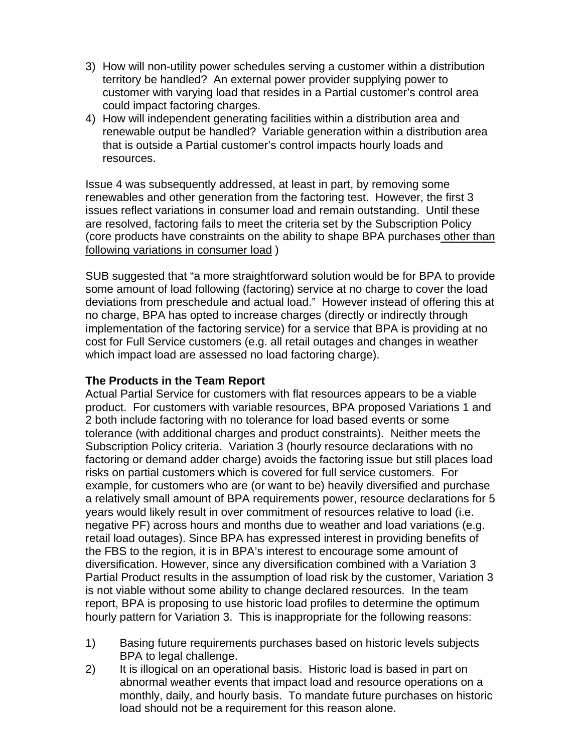- 3) How will non-utility power schedules serving a customer within a distribution territory be handled? An external power provider supplying power to customer with varying load that resides in a Partial customer's control area could impact factoring charges.
- 4) How will independent generating facilities within a distribution area and renewable output be handled? Variable generation within a distribution area that is outside a Partial customer's control impacts hourly loads and resources.

Issue 4 was subsequently addressed, at least in part, by removing some renewables and other generation from the factoring test. However, the first 3 issues reflect variations in consumer load and remain outstanding. Until these are resolved, factoring fails to meet the criteria set by the Subscription Policy (core products have constraints on the ability to shape BPA purchases other than following variations in consumer load )

SUB suggested that "a more straightforward solution would be for BPA to provide some amount of load following (factoring) service at no charge to cover the load deviations from preschedule and actual load." However instead of offering this at no charge, BPA has opted to increase charges (directly or indirectly through implementation of the factoring service) for a service that BPA is providing at no cost for Full Service customers (e.g. all retail outages and changes in weather which impact load are assessed no load factoring charge).

## **The Products in the Team Report**

Actual Partial Service for customers with flat resources appears to be a viable product. For customers with variable resources, BPA proposed Variations 1 and 2 both include factoring with no tolerance for load based events or some tolerance (with additional charges and product constraints). Neither meets the Subscription Policy criteria. Variation 3 (hourly resource declarations with no factoring or demand adder charge) avoids the factoring issue but still places load risks on partial customers which is covered for full service customers. For example, for customers who are (or want to be) heavily diversified and purchase a relatively small amount of BPA requirements power, resource declarations for 5 years would likely result in over commitment of resources relative to load (i.e. negative PF) across hours and months due to weather and load variations (e.g. retail load outages). Since BPA has expressed interest in providing benefits of the FBS to the region, it is in BPA's interest to encourage some amount of diversification. However, since any diversification combined with a Variation 3 Partial Product results in the assumption of load risk by the customer, Variation 3 is not viable without some ability to change declared resources. In the team report, BPA is proposing to use historic load profiles to determine the optimum hourly pattern for Variation 3. This is inappropriate for the following reasons:

- 1) Basing future requirements purchases based on historic levels subjects BPA to legal challenge.
- 2) It is illogical on an operational basis. Historic load is based in part on abnormal weather events that impact load and resource operations on a monthly, daily, and hourly basis. To mandate future purchases on historic load should not be a requirement for this reason alone.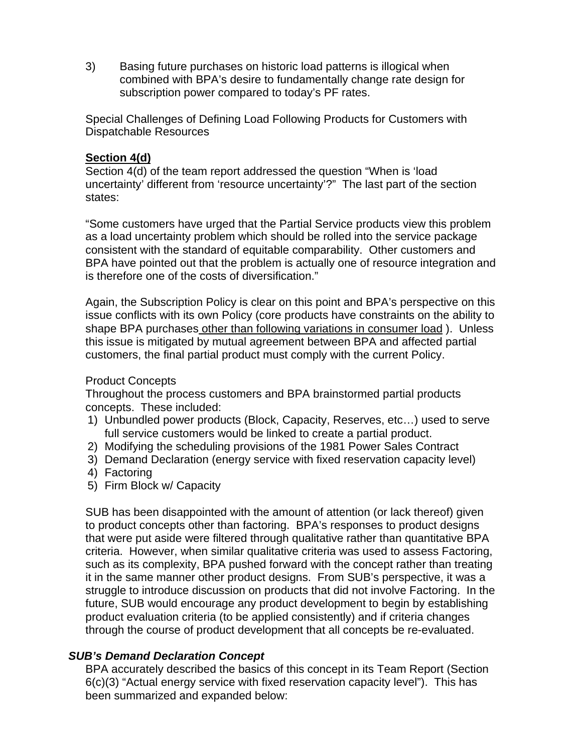3) Basing future purchases on historic load patterns is illogical when combined with BPA's desire to fundamentally change rate design for subscription power compared to today's PF rates.

Special Challenges of Defining Load Following Products for Customers with Dispatchable Resources

#### **Section 4(d)**

Section 4(d) of the team report addressed the question "When is 'load uncertainty' different from 'resource uncertainty'?" The last part of the section states:

"Some customers have urged that the Partial Service products view this problem as a load uncertainty problem which should be rolled into the service package consistent with the standard of equitable comparability. Other customers and BPA have pointed out that the problem is actually one of resource integration and is therefore one of the costs of diversification."

Again, the Subscription Policy is clear on this point and BPA's perspective on this issue conflicts with its own Policy (core products have constraints on the ability to shape BPA purchases other than following variations in consumer load ). Unless this issue is mitigated by mutual agreement between BPA and affected partial customers, the final partial product must comply with the current Policy.

#### Product Concepts

Throughout the process customers and BPA brainstormed partial products concepts. These included:

- 1) Unbundled power products (Block, Capacity, Reserves, etc…) used to serve full service customers would be linked to create a partial product.
- 2) Modifying the scheduling provisions of the 1981 Power Sales Contract
- 3) Demand Declaration (energy service with fixed reservation capacity level)
- 4) Factoring
- 5) Firm Block w/ Capacity

SUB has been disappointed with the amount of attention (or lack thereof) given to product concepts other than factoring. BPA's responses to product designs that were put aside were filtered through qualitative rather than quantitative BPA criteria. However, when similar qualitative criteria was used to assess Factoring, such as its complexity, BPA pushed forward with the concept rather than treating it in the same manner other product designs. From SUB's perspective, it was a struggle to introduce discussion on products that did not involve Factoring. In the future, SUB would encourage any product development to begin by establishing product evaluation criteria (to be applied consistently) and if criteria changes through the course of product development that all concepts be re-evaluated.

#### *SUB's Demand Declaration Concept*

BPA accurately described the basics of this concept in its Team Report (Section 6(c)(3) "Actual energy service with fixed reservation capacity level"). This has been summarized and expanded below: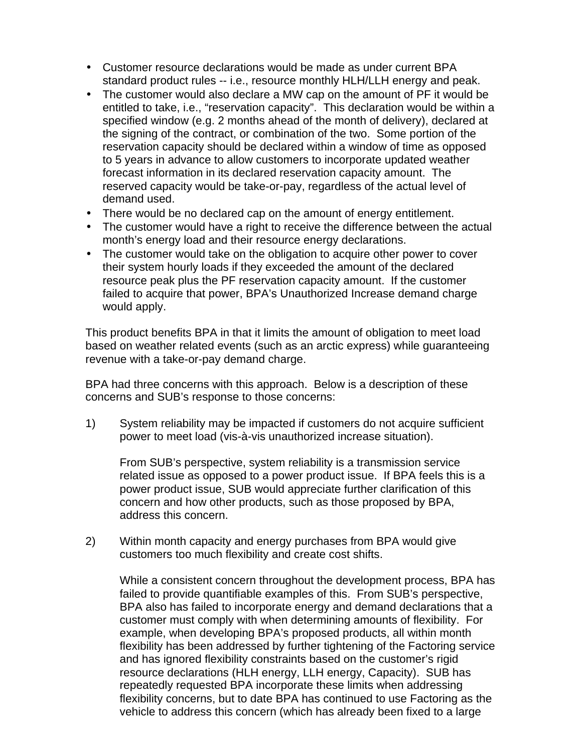- Customer resource declarations would be made as under current BPA standard product rules -- i.e., resource monthly HLH/LLH energy and peak.
- The customer would also declare a MW cap on the amount of PF it would be entitled to take, i.e., "reservation capacity". This declaration would be within a specified window (e.g. 2 months ahead of the month of delivery), declared at the signing of the contract, or combination of the two. Some portion of the reservation capacity should be declared within a window of time as opposed to 5 years in advance to allow customers to incorporate updated weather forecast information in its declared reservation capacity amount. The reserved capacity would be take-or-pay, regardless of the actual level of demand used.
- There would be no declared cap on the amount of energy entitlement.
- The customer would have a right to receive the difference between the actual month's energy load and their resource energy declarations.
- The customer would take on the obligation to acquire other power to cover their system hourly loads if they exceeded the amount of the declared resource peak plus the PF reservation capacity amount. If the customer failed to acquire that power, BPA's Unauthorized Increase demand charge would apply.

This product benefits BPA in that it limits the amount of obligation to meet load based on weather related events (such as an arctic express) while guaranteeing revenue with a take-or-pay demand charge.

BPA had three concerns with this approach. Below is a description of these concerns and SUB's response to those concerns:

1) System reliability may be impacted if customers do not acquire sufficient power to meet load (vis-à-vis unauthorized increase situation).

From SUB's perspective, system reliability is a transmission service related issue as opposed to a power product issue. If BPA feels this is a power product issue, SUB would appreciate further clarification of this concern and how other products, such as those proposed by BPA, address this concern.

2) Within month capacity and energy purchases from BPA would give customers too much flexibility and create cost shifts.

While a consistent concern throughout the development process, BPA has failed to provide quantifiable examples of this. From SUB's perspective, BPA also has failed to incorporate energy and demand declarations that a customer must comply with when determining amounts of flexibility. For example, when developing BPA's proposed products, all within month flexibility has been addressed by further tightening of the Factoring service and has ignored flexibility constraints based on the customer's rigid resource declarations (HLH energy, LLH energy, Capacity). SUB has repeatedly requested BPA incorporate these limits when addressing flexibility concerns, but to date BPA has continued to use Factoring as the vehicle to address this concern (which has already been fixed to a large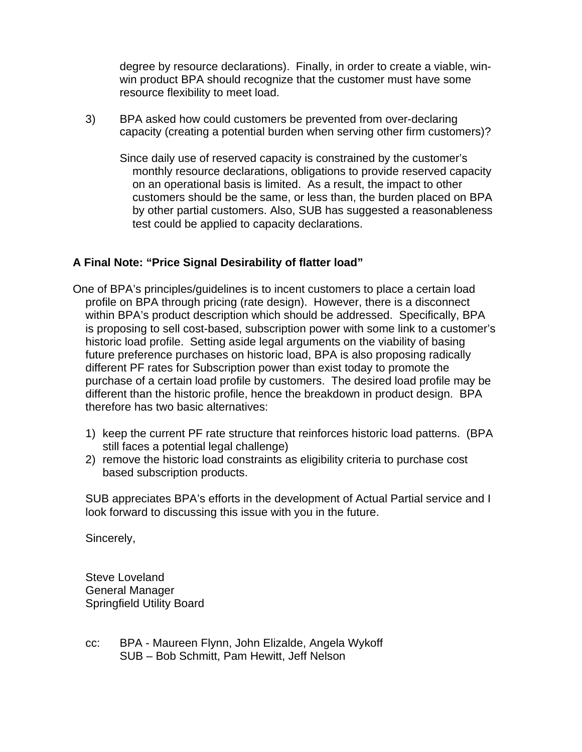degree by resource declarations). Finally, in order to create a viable, winwin product BPA should recognize that the customer must have some resource flexibility to meet load.

3) BPA asked how could customers be prevented from over-declaring capacity (creating a potential burden when serving other firm customers)?

Since daily use of reserved capacity is constrained by the customer's monthly resource declarations, obligations to provide reserved capacity on an operational basis is limited. As a result, the impact to other customers should be the same, or less than, the burden placed on BPA by other partial customers. Also, SUB has suggested a reasonableness test could be applied to capacity declarations.

# **A Final Note: "Price Signal Desirability of flatter load"**

- One of BPA's principles/guidelines is to incent customers to place a certain load profile on BPA through pricing (rate design). However, there is a disconnect within BPA's product description which should be addressed. Specifically, BPA is proposing to sell cost-based, subscription power with some link to a customer's historic load profile. Setting aside legal arguments on the viability of basing future preference purchases on historic load, BPA is also proposing radically different PF rates for Subscription power than exist today to promote the purchase of a certain load profile by customers. The desired load profile may be different than the historic profile, hence the breakdown in product design. BPA therefore has two basic alternatives:
	- 1) keep the current PF rate structure that reinforces historic load patterns. (BPA still faces a potential legal challenge)
	- 2) remove the historic load constraints as eligibility criteria to purchase cost based subscription products.

SUB appreciates BPA's efforts in the development of Actual Partial service and I look forward to discussing this issue with you in the future.

Sincerely,

Steve Loveland General Manager Springfield Utility Board

cc: BPA - Maureen Flynn, John Elizalde, Angela Wykoff SUB – Bob Schmitt, Pam Hewitt, Jeff Nelson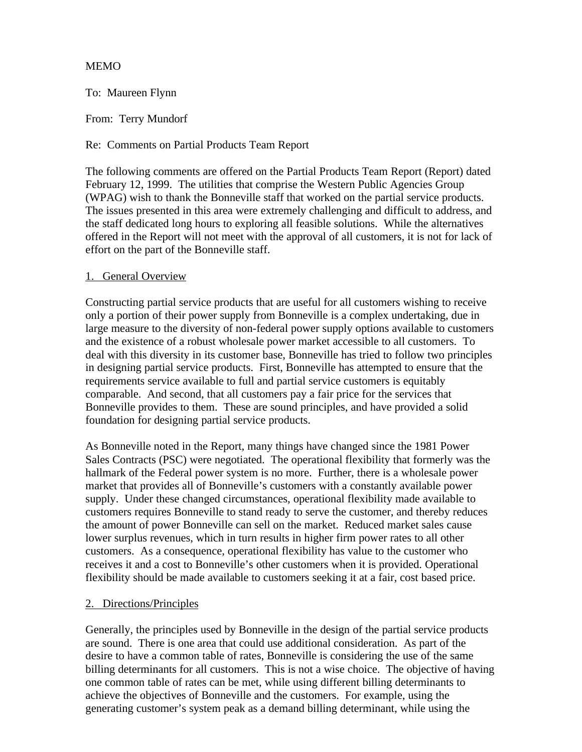#### MEMO

To: Maureen Flynn

From: Terry Mundorf

Re: Comments on Partial Products Team Report

The following comments are offered on the Partial Products Team Report (Report) dated February 12, 1999. The utilities that comprise the Western Public Agencies Group (WPAG) wish to thank the Bonneville staff that worked on the partial service products. The issues presented in this area were extremely challenging and difficult to address, and the staff dedicated long hours to exploring all feasible solutions. While the alternatives offered in the Report will not meet with the approval of all customers, it is not for lack of effort on the part of the Bonneville staff.

#### 1. General Overview

Constructing partial service products that are useful for all customers wishing to receive only a portion of their power supply from Bonneville is a complex undertaking, due in large measure to the diversity of non-federal power supply options available to customers and the existence of a robust wholesale power market accessible to all customers. To deal with this diversity in its customer base, Bonneville has tried to follow two principles in designing partial service products. First, Bonneville has attempted to ensure that the requirements service available to full and partial service customers is equitably comparable. And second, that all customers pay a fair price for the services that Bonneville provides to them. These are sound principles, and have provided a solid foundation for designing partial service products.

As Bonneville noted in the Report, many things have changed since the 1981 Power Sales Contracts (PSC) were negotiated. The operational flexibility that formerly was the hallmark of the Federal power system is no more. Further, there is a wholesale power market that provides all of Bonneville's customers with a constantly available power supply. Under these changed circumstances, operational flexibility made available to customers requires Bonneville to stand ready to serve the customer, and thereby reduces the amount of power Bonneville can sell on the market. Reduced market sales cause lower surplus revenues, which in turn results in higher firm power rates to all other customers. As a consequence, operational flexibility has value to the customer who receives it and a cost to Bonneville's other customers when it is provided. Operational flexibility should be made available to customers seeking it at a fair, cost based price.

#### 2. Directions/Principles

Generally, the principles used by Bonneville in the design of the partial service products are sound. There is one area that could use additional consideration. As part of the desire to have a common table of rates, Bonneville is considering the use of the same billing determinants for all customers. This is not a wise choice. The objective of having one common table of rates can be met, while using different billing determinants to achieve the objectives of Bonneville and the customers. For example, using the generating customer's system peak as a demand billing determinant, while using the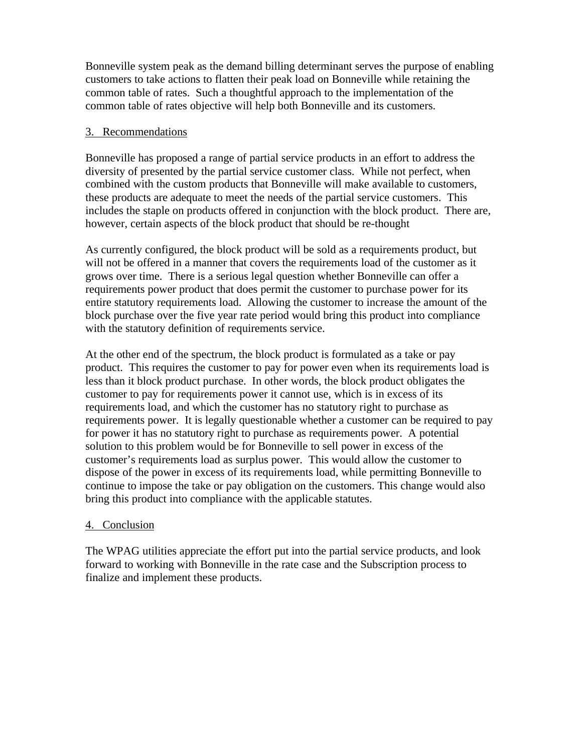Bonneville system peak as the demand billing determinant serves the purpose of enabling customers to take actions to flatten their peak load on Bonneville while retaining the common table of rates. Such a thoughtful approach to the implementation of the common table of rates objective will help both Bonneville and its customers.

#### 3. Recommendations

Bonneville has proposed a range of partial service products in an effort to address the diversity of presented by the partial service customer class. While not perfect, when combined with the custom products that Bonneville will make available to customers, these products are adequate to meet the needs of the partial service customers. This includes the staple on products offered in conjunction with the block product. There are, however, certain aspects of the block product that should be re-thought

As currently configured, the block product will be sold as a requirements product, but will not be offered in a manner that covers the requirements load of the customer as it grows over time. There is a serious legal question whether Bonneville can offer a requirements power product that does permit the customer to purchase power for its entire statutory requirements load. Allowing the customer to increase the amount of the block purchase over the five year rate period would bring this product into compliance with the statutory definition of requirements service.

At the other end of the spectrum, the block product is formulated as a take or pay product. This requires the customer to pay for power even when its requirements load is less than it block product purchase. In other words, the block product obligates the customer to pay for requirements power it cannot use, which is in excess of its requirements load, and which the customer has no statutory right to purchase as requirements power. It is legally questionable whether a customer can be required to pay for power it has no statutory right to purchase as requirements power. A potential solution to this problem would be for Bonneville to sell power in excess of the customer's requirements load as surplus power. This would allow the customer to dispose of the power in excess of its requirements load, while permitting Bonneville to continue to impose the take or pay obligation on the customers. This change would also bring this product into compliance with the applicable statutes.

#### 4. Conclusion

The WPAG utilities appreciate the effort put into the partial service products, and look forward to working with Bonneville in the rate case and the Subscription process to finalize and implement these products.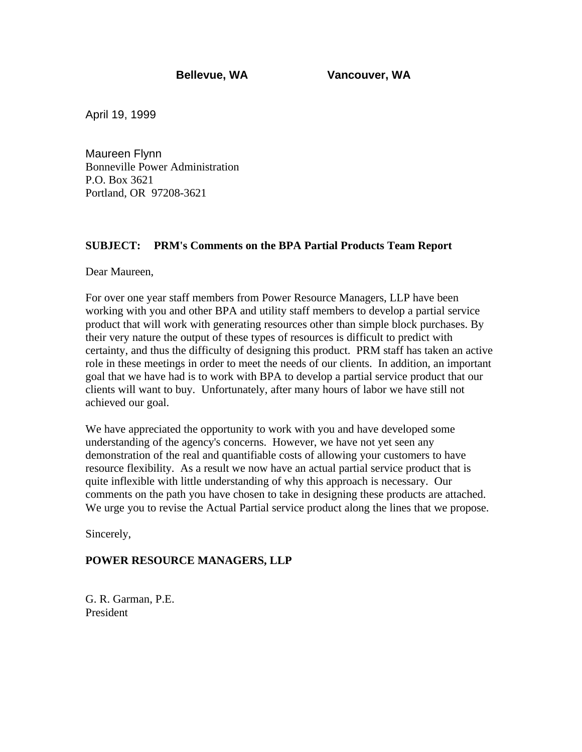April 19, 1999

Maureen Flynn Bonneville Power Administration P.O. Box 3621 Portland, OR 97208-3621

#### **SUBJECT: PRM's Comments on the BPA Partial Products Team Report**

Dear Maureen,

For over one year staff members from Power Resource Managers, LLP have been working with you and other BPA and utility staff members to develop a partial service product that will work with generating resources other than simple block purchases. By their very nature the output of these types of resources is difficult to predict with certainty, and thus the difficulty of designing this product. PRM staff has taken an active role in these meetings in order to meet the needs of our clients. In addition, an important goal that we have had is to work with BPA to develop a partial service product that our clients will want to buy. Unfortunately, after many hours of labor we have still not achieved our goal.

We have appreciated the opportunity to work with you and have developed some understanding of the agency's concerns. However, we have not yet seen any demonstration of the real and quantifiable costs of allowing your customers to have resource flexibility. As a result we now have an actual partial service product that is quite inflexible with little understanding of why this approach is necessary. Our comments on the path you have chosen to take in designing these products are attached. We urge you to revise the Actual Partial service product along the lines that we propose.

Sincerely,

#### **POWER RESOURCE MANAGERS, LLP**

G. R. Garman, P.E. President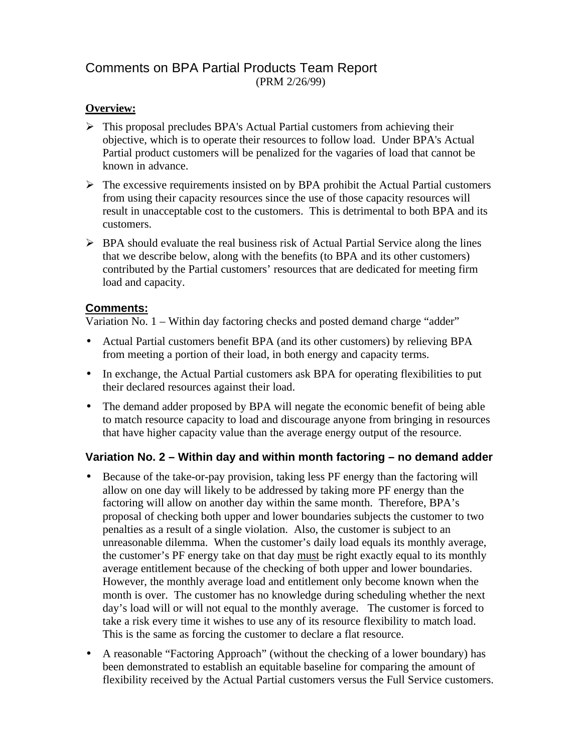# Comments on BPA Partial Products Team Report (PRM 2/26/99)

## **Overview:**

- $\triangleright$  This proposal precludes BPA's Actual Partial customers from achieving their objective, which is to operate their resources to follow load. Under BPA's Actual Partial product customers will be penalized for the vagaries of load that cannot be known in advance.
- $\triangleright$  The excessive requirements insisted on by BPA prohibit the Actual Partial customers from using their capacity resources since the use of those capacity resources will result in unacceptable cost to the customers. This is detrimental to both BPA and its customers.
- $\triangleright$  BPA should evaluate the real business risk of Actual Partial Service along the lines that we describe below, along with the benefits (to BPA and its other customers) contributed by the Partial customers' resources that are dedicated for meeting firm load and capacity.

#### **Comments:**

Variation No. 1 – Within day factoring checks and posted demand charge "adder"

- Actual Partial customers benefit BPA (and its other customers) by relieving BPA from meeting a portion of their load, in both energy and capacity terms.
- In exchange, the Actual Partial customers ask BPA for operating flexibilities to put their declared resources against their load.
- The demand adder proposed by BPA will negate the economic benefit of being able to match resource capacity to load and discourage anyone from bringing in resources that have higher capacity value than the average energy output of the resource.

#### **Variation No. 2 – Within day and within month factoring – no demand adder**

- Because of the take-or-pay provision, taking less PF energy than the factoring will allow on one day will likely to be addressed by taking more PF energy than the factoring will allow on another day within the same month. Therefore, BPA's proposal of checking both upper and lower boundaries subjects the customer to two penalties as a result of a single violation. Also, the customer is subject to an unreasonable dilemma. When the customer's daily load equals its monthly average, the customer's PF energy take on that day must be right exactly equal to its monthly average entitlement because of the checking of both upper and lower boundaries. However, the monthly average load and entitlement only become known when the month is over. The customer has no knowledge during scheduling whether the next day's load will or will not equal to the monthly average. The customer is forced to take a risk every time it wishes to use any of its resource flexibility to match load. This is the same as forcing the customer to declare a flat resource.
- A reasonable "Factoring Approach" (without the checking of a lower boundary) has been demonstrated to establish an equitable baseline for comparing the amount of flexibility received by the Actual Partial customers versus the Full Service customers.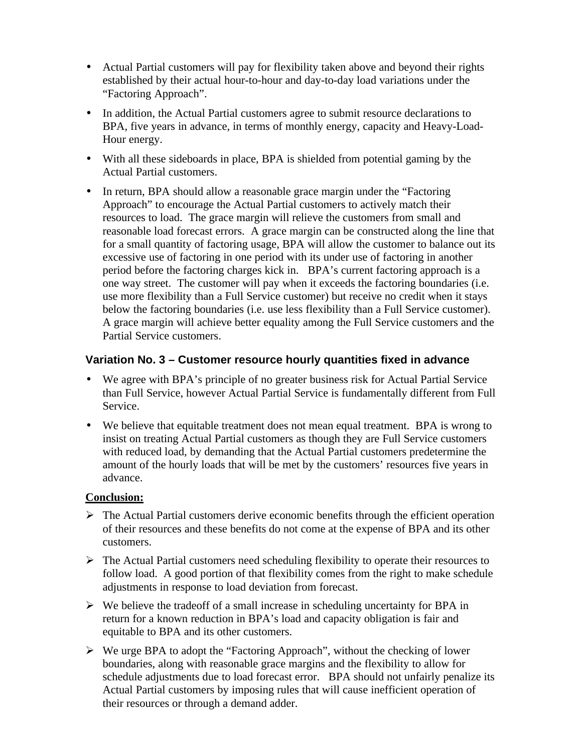- Actual Partial customers will pay for flexibility taken above and beyond their rights established by their actual hour-to-hour and day-to-day load variations under the "Factoring Approach".
- In addition, the Actual Partial customers agree to submit resource declarations to BPA, five years in advance, in terms of monthly energy, capacity and Heavy-Load-Hour energy.
- With all these sideboards in place, BPA is shielded from potential gaming by the Actual Partial customers.
- In return, BPA should allow a reasonable grace margin under the "Factoring" Approach" to encourage the Actual Partial customers to actively match their resources to load. The grace margin will relieve the customers from small and reasonable load forecast errors. A grace margin can be constructed along the line that for a small quantity of factoring usage, BPA will allow the customer to balance out its excessive use of factoring in one period with its under use of factoring in another period before the factoring charges kick in. BPA's current factoring approach is a one way street. The customer will pay when it exceeds the factoring boundaries (i.e. use more flexibility than a Full Service customer) but receive no credit when it stays below the factoring boundaries (i.e. use less flexibility than a Full Service customer). A grace margin will achieve better equality among the Full Service customers and the Partial Service customers.

## **Variation No. 3 – Customer resource hourly quantities fixed in advance**

- We agree with BPA's principle of no greater business risk for Actual Partial Service than Full Service, however Actual Partial Service is fundamentally different from Full Service.
- We believe that equitable treatment does not mean equal treatment. BPA is wrong to insist on treating Actual Partial customers as though they are Full Service customers with reduced load, by demanding that the Actual Partial customers predetermine the amount of the hourly loads that will be met by the customers' resources five years in advance.

#### **Conclusion:**

- $\triangleright$  The Actual Partial customers derive economic benefits through the efficient operation of their resources and these benefits do not come at the expense of BPA and its other customers.
- $\triangleright$  The Actual Partial customers need scheduling flexibility to operate their resources to follow load. A good portion of that flexibility comes from the right to make schedule adjustments in response to load deviation from forecast.
- $\triangleright$  We believe the tradeoff of a small increase in scheduling uncertainty for BPA in return for a known reduction in BPA's load and capacity obligation is fair and equitable to BPA and its other customers.
- $\triangleright$  We urge BPA to adopt the "Factoring Approach", without the checking of lower boundaries, along with reasonable grace margins and the flexibility to allow for schedule adjustments due to load forecast error. BPA should not unfairly penalize its Actual Partial customers by imposing rules that will cause inefficient operation of their resources or through a demand adder.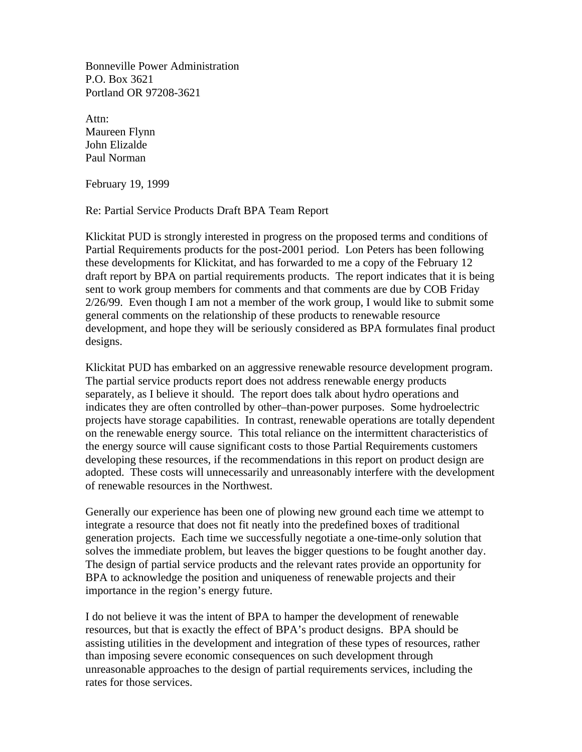Bonneville Power Administration P.O. Box 3621 Portland OR 97208-3621

Attn: Maureen Flynn John Elizalde Paul Norman

February 19, 1999

#### Re: Partial Service Products Draft BPA Team Report

Klickitat PUD is strongly interested in progress on the proposed terms and conditions of Partial Requirements products for the post-2001 period. Lon Peters has been following these developments for Klickitat, and has forwarded to me a copy of the February 12 draft report by BPA on partial requirements products. The report indicates that it is being sent to work group members for comments and that comments are due by COB Friday 2/26/99. Even though I am not a member of the work group, I would like to submit some general comments on the relationship of these products to renewable resource development, and hope they will be seriously considered as BPA formulates final product designs.

Klickitat PUD has embarked on an aggressive renewable resource development program. The partial service products report does not address renewable energy products separately, as I believe it should. The report does talk about hydro operations and indicates they are often controlled by other–than-power purposes. Some hydroelectric projects have storage capabilities. In contrast, renewable operations are totally dependent on the renewable energy source. This total reliance on the intermittent characteristics of the energy source will cause significant costs to those Partial Requirements customers developing these resources, if the recommendations in this report on product design are adopted. These costs will unnecessarily and unreasonably interfere with the development of renewable resources in the Northwest.

Generally our experience has been one of plowing new ground each time we attempt to integrate a resource that does not fit neatly into the predefined boxes of traditional generation projects. Each time we successfully negotiate a one-time-only solution that solves the immediate problem, but leaves the bigger questions to be fought another day. The design of partial service products and the relevant rates provide an opportunity for BPA to acknowledge the position and uniqueness of renewable projects and their importance in the region's energy future.

I do not believe it was the intent of BPA to hamper the development of renewable resources, but that is exactly the effect of BPA's product designs. BPA should be assisting utilities in the development and integration of these types of resources, rather than imposing severe economic consequences on such development through unreasonable approaches to the design of partial requirements services, including the rates for those services.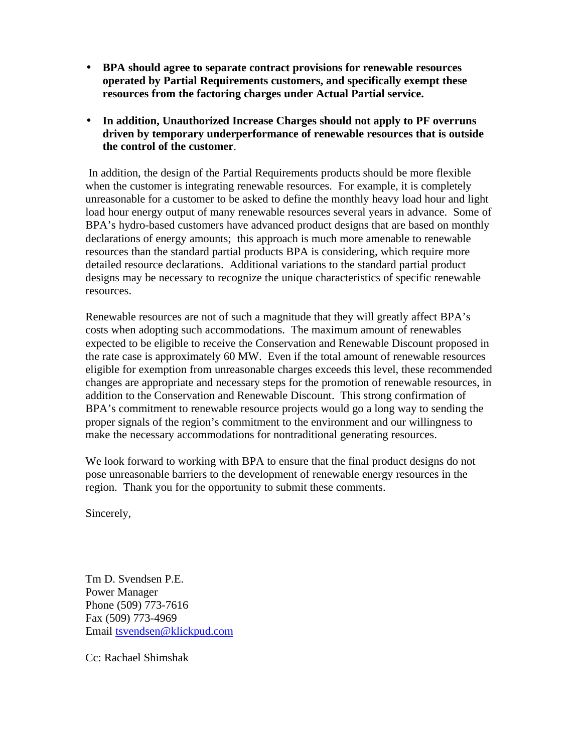- **BPA should agree to separate contract provisions for renewable resources operated by Partial Requirements customers, and specifically exempt these resources from the factoring charges under Actual Partial service.**
- **In addition, Unauthorized Increase Charges should not apply to PF overruns driven by temporary underperformance of renewable resources that is outside the control of the customer**.

 In addition, the design of the Partial Requirements products should be more flexible when the customer is integrating renewable resources. For example, it is completely unreasonable for a customer to be asked to define the monthly heavy load hour and light load hour energy output of many renewable resources several years in advance. Some of BPA's hydro-based customers have advanced product designs that are based on monthly declarations of energy amounts; this approach is much more amenable to renewable resources than the standard partial products BPA is considering, which require more detailed resource declarations. Additional variations to the standard partial product designs may be necessary to recognize the unique characteristics of specific renewable resources.

Renewable resources are not of such a magnitude that they will greatly affect BPA's costs when adopting such accommodations. The maximum amount of renewables expected to be eligible to receive the Conservation and Renewable Discount proposed in the rate case is approximately 60 MW. Even if the total amount of renewable resources eligible for exemption from unreasonable charges exceeds this level, these recommended changes are appropriate and necessary steps for the promotion of renewable resources, in addition to the Conservation and Renewable Discount. This strong confirmation of BPA's commitment to renewable resource projects would go a long way to sending the proper signals of the region's commitment to the environment and our willingness to make the necessary accommodations for nontraditional generating resources.

We look forward to working with BPA to ensure that the final product designs do not pose unreasonable barriers to the development of renewable energy resources in the region. Thank you for the opportunity to submit these comments.

Sincerely,

Tm D. Svendsen P.E. Power Manager Phone (509) 773-7616 Fax (509) 773-4969 Email tsvendsen@klickpud.com

Cc: Rachael Shimshak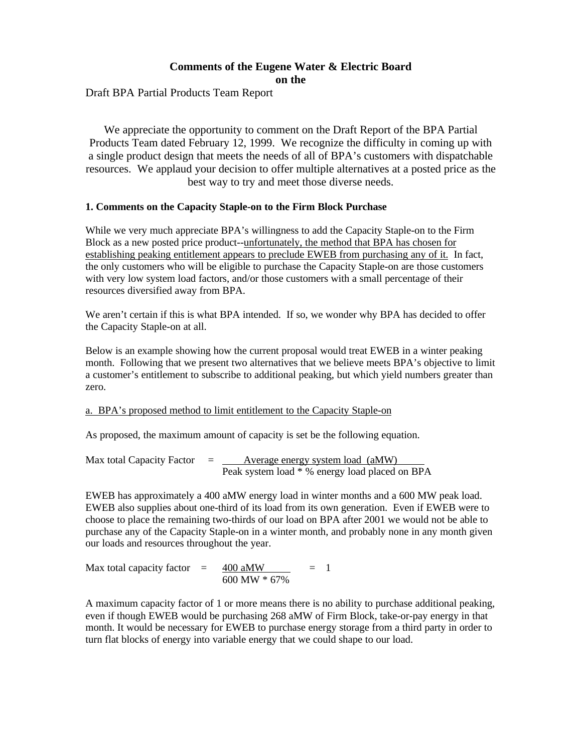#### **Comments of the Eugene Water & Electric Board on the**

Draft BPA Partial Products Team Report

We appreciate the opportunity to comment on the Draft Report of the BPA Partial Products Team dated February 12, 1999. We recognize the difficulty in coming up with a single product design that meets the needs of all of BPA's customers with dispatchable resources. We applaud your decision to offer multiple alternatives at a posted price as the best way to try and meet those diverse needs.

#### **1. Comments on the Capacity Staple-on to the Firm Block Purchase**

While we very much appreciate BPA's willingness to add the Capacity Staple-on to the Firm Block as a new posted price product--unfortunately, the method that BPA has chosen for establishing peaking entitlement appears to preclude EWEB from purchasing any of it. In fact, the only customers who will be eligible to purchase the Capacity Staple-on are those customers with very low system load factors, and/or those customers with a small percentage of their resources diversified away from BPA.

We aren't certain if this is what BPA intended. If so, we wonder why BPA has decided to offer the Capacity Staple-on at all.

Below is an example showing how the current proposal would treat EWEB in a winter peaking month. Following that we present two alternatives that we believe meets BPA's objective to limit a customer's entitlement to subscribe to additional peaking, but which yield numbers greater than zero.

#### a. BPA's proposed method to limit entitlement to the Capacity Staple-on

As proposed, the maximum amount of capacity is set be the following equation.

Max total Capacity Factor  $=$  Average energy system load (aMW) Peak system load \* % energy load placed on BPA

EWEB has approximately a 400 aMW energy load in winter months and a 600 MW peak load. EWEB also supplies about one-third of its load from its own generation. Even if EWEB were to choose to place the remaining two-thirds of our load on BPA after 2001 we would not be able to purchase any of the Capacity Staple-on in a winter month, and probably none in any month given our loads and resources throughout the year.

Max total capacity factor =  $\frac{400 \text{ aMW}}{400 \text{ aMW}}$  = 1 600 MW \* 67%

A maximum capacity factor of 1 or more means there is no ability to purchase additional peaking, even if though EWEB would be purchasing 268 aMW of Firm Block, take-or-pay energy in that month. It would be necessary for EWEB to purchase energy storage from a third party in order to turn flat blocks of energy into variable energy that we could shape to our load.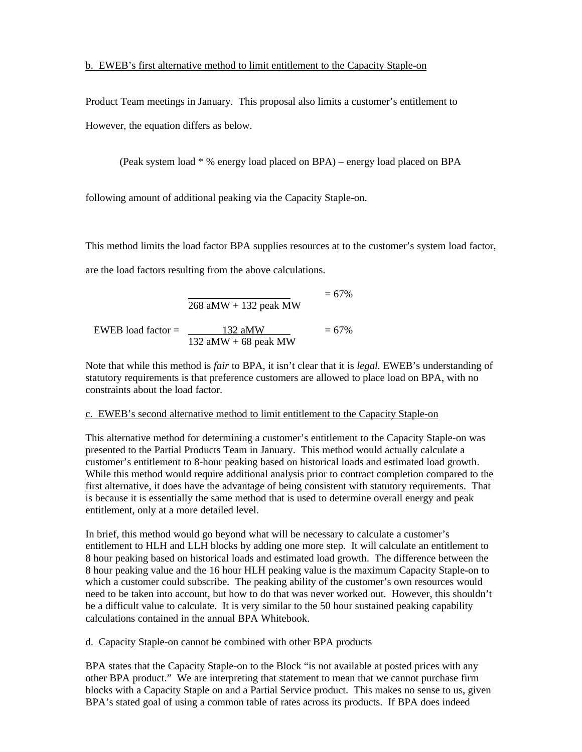#### b. EWEB's first alternative method to limit entitlement to the Capacity Staple-on

Product Team meetings in January. This proposal also limits a customer's entitlement to However, the equation differs as below.

(Peak system load \* % energy load placed on BPA) – energy load placed on BPA

following amount of additional peaking via the Capacity Staple-on.

This method limits the load factor BPA supplies resources at to the customer's system load factor,

are the load factors resulting from the above calculations.

 $= 67\%$  $268$  aMW + 132 peak MW EWEB load factor = 132 aMW = 67% 132 aMW + 68 peak MW

Note that while this method is *fair* to BPA, it isn't clear that it is *legal.* EWEB's understanding of statutory requirements is that preference customers are allowed to place load on BPA, with no constraints about the load factor.

#### c. EWEB's second alternative method to limit entitlement to the Capacity Staple-on

This alternative method for determining a customer's entitlement to the Capacity Staple-on was presented to the Partial Products Team in January. This method would actually calculate a customer's entitlement to 8-hour peaking based on historical loads and estimated load growth. While this method would require additional analysis prior to contract completion compared to the first alternative, it does have the advantage of being consistent with statutory requirements. That is because it is essentially the same method that is used to determine overall energy and peak entitlement, only at a more detailed level.

In brief, this method would go beyond what will be necessary to calculate a customer's entitlement to HLH and LLH blocks by adding one more step. It will calculate an entitlement to 8 hour peaking based on historical loads and estimated load growth. The difference between the 8 hour peaking value and the 16 hour HLH peaking value is the maximum Capacity Staple-on to which a customer could subscribe. The peaking ability of the customer's own resources would need to be taken into account, but how to do that was never worked out. However, this shouldn't be a difficult value to calculate. It is very similar to the 50 hour sustained peaking capability calculations contained in the annual BPA Whitebook.

#### d. Capacity Staple-on cannot be combined with other BPA products

BPA states that the Capacity Staple-on to the Block "is not available at posted prices with any other BPA product." We are interpreting that statement to mean that we cannot purchase firm blocks with a Capacity Staple on and a Partial Service product. This makes no sense to us, given BPA's stated goal of using a common table of rates across its products. If BPA does indeed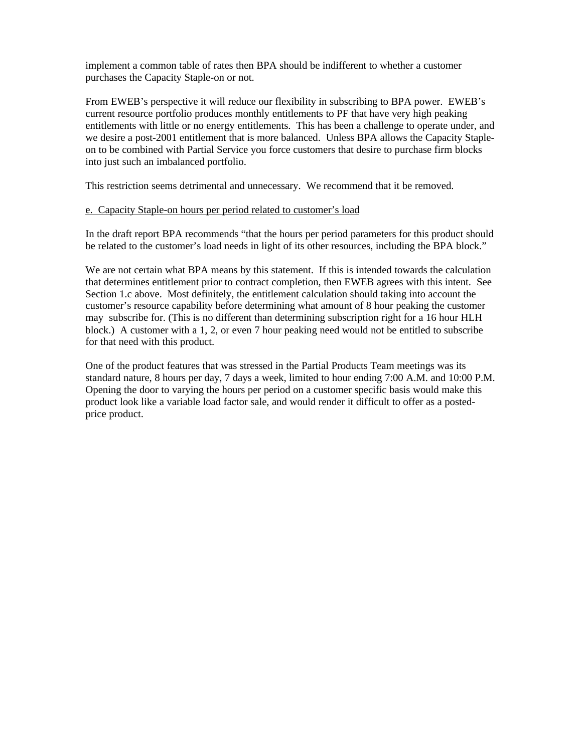implement a common table of rates then BPA should be indifferent to whether a customer purchases the Capacity Staple-on or not.

From EWEB's perspective it will reduce our flexibility in subscribing to BPA power. EWEB's current resource portfolio produces monthly entitlements to PF that have very high peaking entitlements with little or no energy entitlements. This has been a challenge to operate under, and we desire a post-2001 entitlement that is more balanced. Unless BPA allows the Capacity Stapleon to be combined with Partial Service you force customers that desire to purchase firm blocks into just such an imbalanced portfolio.

This restriction seems detrimental and unnecessary. We recommend that it be removed.

#### e. Capacity Staple-on hours per period related to customer's load

In the draft report BPA recommends "that the hours per period parameters for this product should be related to the customer's load needs in light of its other resources, including the BPA block."

We are not certain what BPA means by this statement. If this is intended towards the calculation that determines entitlement prior to contract completion, then EWEB agrees with this intent. See Section 1.c above. Most definitely, the entitlement calculation should taking into account the customer's resource capability before determining what amount of 8 hour peaking the customer may subscribe for. (This is no different than determining subscription right for a 16 hour HLH block.) A customer with a 1, 2, or even 7 hour peaking need would not be entitled to subscribe for that need with this product.

One of the product features that was stressed in the Partial Products Team meetings was its standard nature, 8 hours per day, 7 days a week, limited to hour ending 7:00 A.M. and 10:00 P.M. Opening the door to varying the hours per period on a customer specific basis would make this product look like a variable load factor sale, and would render it difficult to offer as a postedprice product.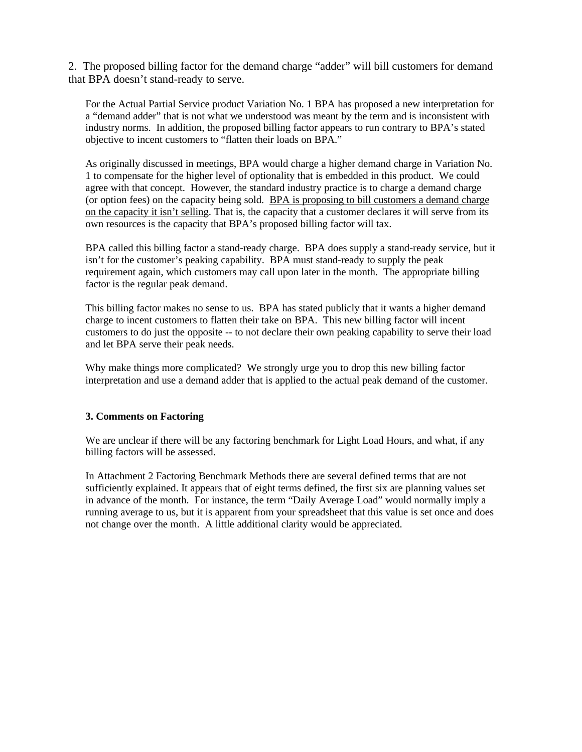2. The proposed billing factor for the demand charge "adder" will bill customers for demand that BPA doesn't stand-ready to serve.

For the Actual Partial Service product Variation No. 1 BPA has proposed a new interpretation for a "demand adder" that is not what we understood was meant by the term and is inconsistent with industry norms. In addition, the proposed billing factor appears to run contrary to BPA's stated objective to incent customers to "flatten their loads on BPA."

As originally discussed in meetings, BPA would charge a higher demand charge in Variation No. 1 to compensate for the higher level of optionality that is embedded in this product. We could agree with that concept. However, the standard industry practice is to charge a demand charge (or option fees) on the capacity being sold. BPA is proposing to bill customers a demand charge on the capacity it isn't selling. That is, the capacity that a customer declares it will serve from its own resources is the capacity that BPA's proposed billing factor will tax.

BPA called this billing factor a stand-ready charge. BPA does supply a stand-ready service, but it isn't for the customer's peaking capability. BPA must stand-ready to supply the peak requirement again, which customers may call upon later in the month. The appropriate billing factor is the regular peak demand.

This billing factor makes no sense to us. BPA has stated publicly that it wants a higher demand charge to incent customers to flatten their take on BPA. This new billing factor will incent customers to do just the opposite -- to not declare their own peaking capability to serve their load and let BPA serve their peak needs.

Why make things more complicated? We strongly urge you to drop this new billing factor interpretation and use a demand adder that is applied to the actual peak demand of the customer.

#### **3. Comments on Factoring**

We are unclear if there will be any factoring benchmark for Light Load Hours, and what, if any billing factors will be assessed.

In Attachment 2 Factoring Benchmark Methods there are several defined terms that are not sufficiently explained. It appears that of eight terms defined, the first six are planning values set in advance of the month. For instance, the term "Daily Average Load" would normally imply a running average to us, but it is apparent from your spreadsheet that this value is set once and does not change over the month. A little additional clarity would be appreciated.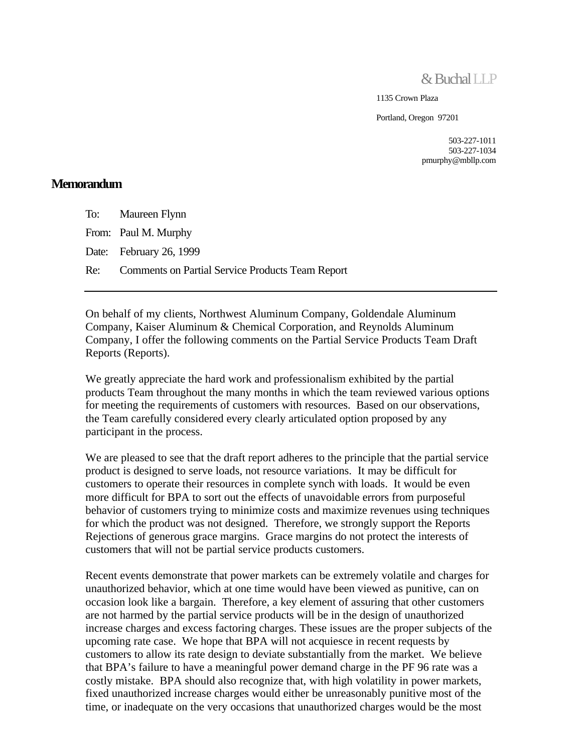& Buchal LLP

1135 Crown Plaza

Portland, Oregon 97201

503-227-1011 503-227-1034 pmurphy@mbllp.com

#### **Memorandum**

To: Maureen Flynn From: Paul M. Murphy Date: February 26, 1999 Re: Comments on Partial Service Products Team Report

On behalf of my clients, Northwest Aluminum Company, Goldendale Aluminum Company, Kaiser Aluminum & Chemical Corporation, and Reynolds Aluminum Company, I offer the following comments on the Partial Service Products Team Draft Reports (Reports).

We greatly appreciate the hard work and professionalism exhibited by the partial products Team throughout the many months in which the team reviewed various options for meeting the requirements of customers with resources. Based on our observations, the Team carefully considered every clearly articulated option proposed by any participant in the process.

We are pleased to see that the draft report adheres to the principle that the partial service product is designed to serve loads, not resource variations. It may be difficult for customers to operate their resources in complete synch with loads. It would be even more difficult for BPA to sort out the effects of unavoidable errors from purposeful behavior of customers trying to minimize costs and maximize revenues using techniques for which the product was not designed. Therefore, we strongly support the Reports Rejections of generous grace margins. Grace margins do not protect the interests of customers that will not be partial service products customers.

Recent events demonstrate that power markets can be extremely volatile and charges for unauthorized behavior, which at one time would have been viewed as punitive, can on occasion look like a bargain. Therefore, a key element of assuring that other customers are not harmed by the partial service products will be in the design of unauthorized increase charges and excess factoring charges. These issues are the proper subjects of the upcoming rate case. We hope that BPA will not acquiesce in recent requests by customers to allow its rate design to deviate substantially from the market. We believe that BPA's failure to have a meaningful power demand charge in the PF 96 rate was a costly mistake. BPA should also recognize that, with high volatility in power markets, fixed unauthorized increase charges would either be unreasonably punitive most of the time, or inadequate on the very occasions that unauthorized charges would be the most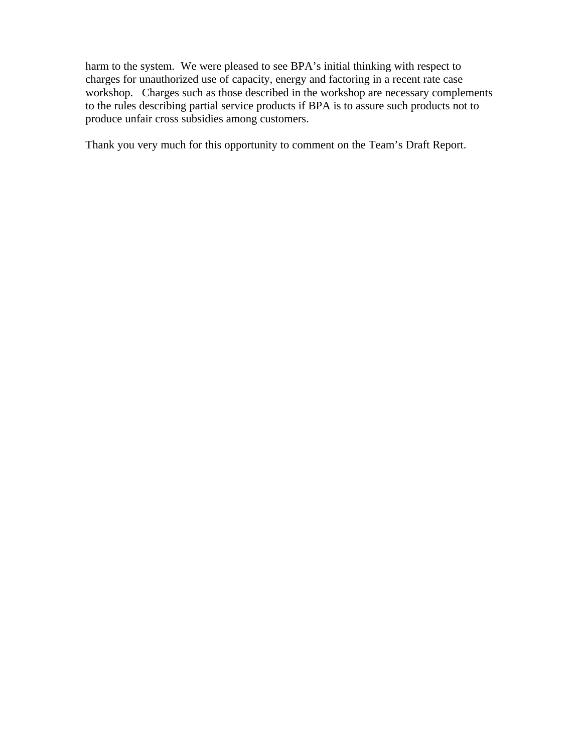harm to the system. We were pleased to see BPA's initial thinking with respect to charges for unauthorized use of capacity, energy and factoring in a recent rate case workshop. Charges such as those described in the workshop are necessary complements to the rules describing partial service products if BPA is to assure such products not to produce unfair cross subsidies among customers.

Thank you very much for this opportunity to comment on the Team's Draft Report.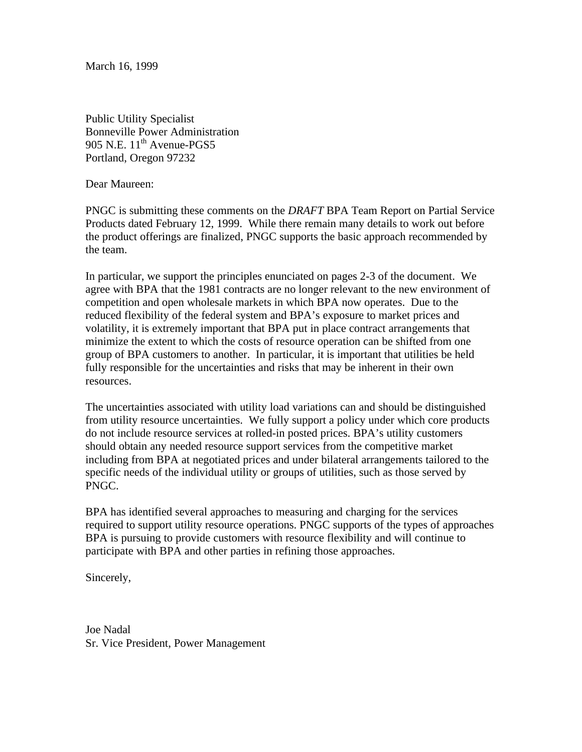March 16, 1999

Public Utility Specialist Bonneville Power Administration 905 N.E.  $11^{th}$  Avenue-PGS5 Portland, Oregon 97232

Dear Maureen:

PNGC is submitting these comments on the *DRAFT* BPA Team Report on Partial Service Products dated February 12, 1999. While there remain many details to work out before the product offerings are finalized, PNGC supports the basic approach recommended by the team.

In particular, we support the principles enunciated on pages 2-3 of the document. We agree with BPA that the 1981 contracts are no longer relevant to the new environment of competition and open wholesale markets in which BPA now operates. Due to the reduced flexibility of the federal system and BPA's exposure to market prices and volatility, it is extremely important that BPA put in place contract arrangements that minimize the extent to which the costs of resource operation can be shifted from one group of BPA customers to another. In particular, it is important that utilities be held fully responsible for the uncertainties and risks that may be inherent in their own resources.

The uncertainties associated with utility load variations can and should be distinguished from utility resource uncertainties. We fully support a policy under which core products do not include resource services at rolled-in posted prices. BPA's utility customers should obtain any needed resource support services from the competitive market including from BPA at negotiated prices and under bilateral arrangements tailored to the specific needs of the individual utility or groups of utilities, such as those served by PNGC.

BPA has identified several approaches to measuring and charging for the services required to support utility resource operations. PNGC supports of the types of approaches BPA is pursuing to provide customers with resource flexibility and will continue to participate with BPA and other parties in refining those approaches.

Sincerely,

Joe Nadal Sr. Vice President, Power Management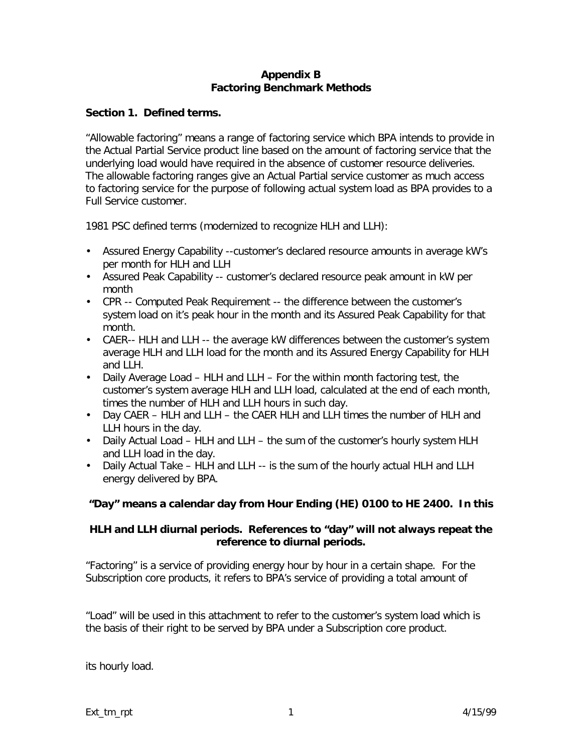#### **Appendix B Factoring Benchmark Methods**

#### **Section 1. Defined terms.**

"Allowable factoring" means a range of factoring service which BPA intends to provide in the Actual Partial Service product line based on the amount of factoring service that the underlying load would have required in the absence of customer resource deliveries. The allowable factoring ranges give an Actual Partial service customer as much access to factoring service for the purpose of following actual system load as BPA provides to a Full Service customer.

1981 PSC defined terms (modernized to recognize HLH and LLH):

- Assured Energy Capability --customer's declared resource amounts in average kW's per month for HLH and LLH
- Assured Peak Capability -- customer's declared resource peak amount in kW per month
- CPR -- Computed Peak Requirement -- the difference between the customer's system load on it's peak hour in the month and its Assured Peak Capability for that month.
- CAER-- HLH and LLH -- the average kW differences between the customer's system average HLH and LLH load for the month and its Assured Energy Capability for HLH and LLH.
- Daily Average Load HLH and LLH For the within month factoring test, the customer's system average HLH and LLH load, calculated at the end of each month, times the number of HLH and LLH hours in such day.
- Day CAER HLH and LLH the CAER HLH and LLH times the number of HLH and LLH hours in the day.
- Daily Actual Load HLH and LLH the sum of the customer's hourly system HLH and LLH load in the day.
- Daily Actual Take HLH and LLH -- is the sum of the hourly actual HLH and LLH energy delivered by BPA.

#### **"Day" means a calendar day from Hour Ending (HE) 0100 to HE 2400. In this**

#### **HLH and LLH diurnal periods. References to "day" will not always repeat the reference to diurnal periods.**

"Factoring" is a service of providing energy hour by hour in a certain shape. For the Subscription core products, it refers to BPA's service of providing a total amount of

"Load" will be used in this attachment to refer to the customer's system load which is the basis of their right to be served by BPA under a Subscription core product.

its hourly load.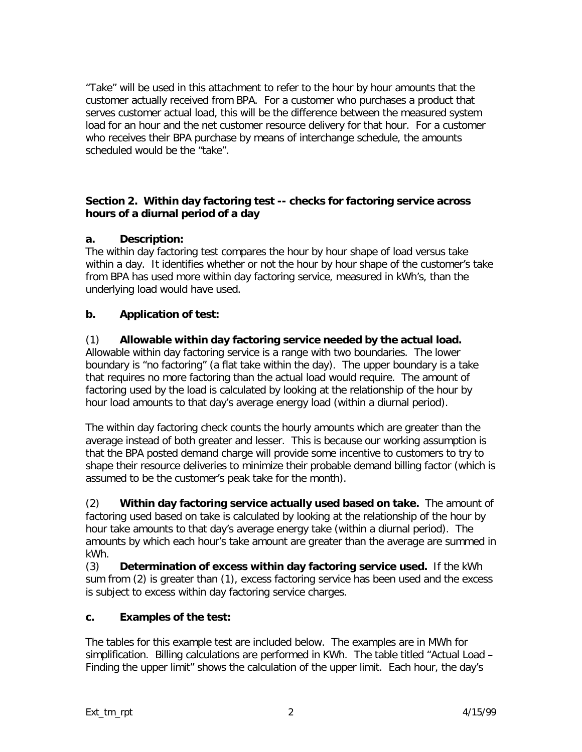"Take" will be used in this attachment to refer to the hour by hour amounts that the customer actually received from BPA. For a customer who purchases a product that serves customer actual load, this will be the difference between the measured system load for an hour and the net customer resource delivery for that hour. For a customer who receives their BPA purchase by means of interchange schedule, the amounts scheduled would be the "take".

#### **Section 2. Within day factoring test -- checks for factoring service across hours of a diurnal period of a day**

#### **a. Description:**

The within day factoring test compares the hour by hour shape of load versus take within a day. It identifies whether or not the hour by hour shape of the customer's take from BPA has used more within day factoring service, measured in kWh's, than the underlying load would have used.

## **b. Application of test:**

## (1) **Allowable within day factoring service needed by the actual load.**

Allowable within day factoring service is a range with two boundaries.The lower boundary is "no factoring" (a flat take within the day). The upper boundary is a take that requires no more factoring than the actual load would require. The amount of factoring used by the load is calculated by looking at the relationship of the hour by hour load amounts to that day's average energy load (within a diurnal period).

The within day factoring check counts the hourly amounts which are greater than the average instead of both greater and lesser. This is because our working assumption is that the BPA posted demand charge will provide some incentive to customers to try to shape their resource deliveries to minimize their probable demand billing factor (which is assumed to be the customer's peak take for the month).

(2) **Within day factoring service actually used based on take.** The amount of factoring used based on take is calculated by looking at the relationship of the hour by hour take amounts to that day's average energy take (within a diurnal period). The amounts by which each hour's take amount are greater than the average are summed in kWh.

(3) **Determination of excess within day factoring service used.** If the kWh sum from (2) is greater than (1), excess factoring service has been used and the excess is subject to excess within day factoring service charges.

#### **c. Examples of the test:**

The tables for this example test are included below. The examples are in MWh for simplification. Billing calculations are performed in KWh. The table titled "Actual Load – Finding the upper limit" shows the calculation of the upper limit. Each hour, the day's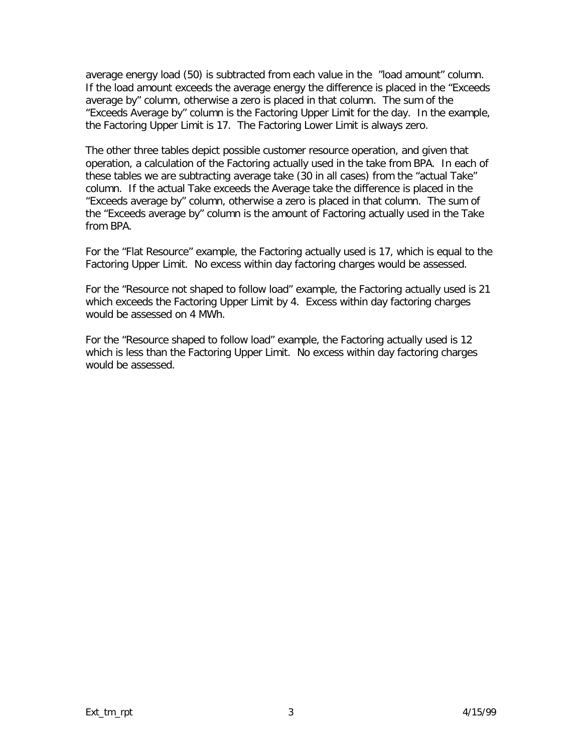average energy load (50) is subtracted from each value in the "load amount" column. If the load amount exceeds the average energy the difference is placed in the "Exceeds average by" column, otherwise a zero is placed in that column. The sum of the "Exceeds Average by" column is the Factoring Upper Limit for the day. In the example, the Factoring Upper Limit is 17. The Factoring Lower Limit is always zero.

The other three tables depict possible customer resource operation, and given that operation, a calculation of the Factoring actually used in the take from BPA. In each of these tables we are subtracting average take (30 in all cases) from the "actual Take" column. If the actual Take exceeds the Average take the difference is placed in the "Exceeds average by" column, otherwise a zero is placed in that column. The sum of the "Exceeds average by" column is the amount of Factoring actually used in the Take from BPA.

For the "Flat Resource" example, the Factoring actually used is 17, which is equal to the Factoring Upper Limit. No excess within day factoring charges would be assessed.

For the "Resource not shaped to follow load" example, the Factoring actually used is 21 which exceeds the Factoring Upper Limit by 4. Excess within day factoring charges would be assessed on 4 MWh.

For the "Resource shaped to follow load" example, the Factoring actually used is 12 which is less than the Factoring Upper Limit. No excess within day factoring charges would be assessed.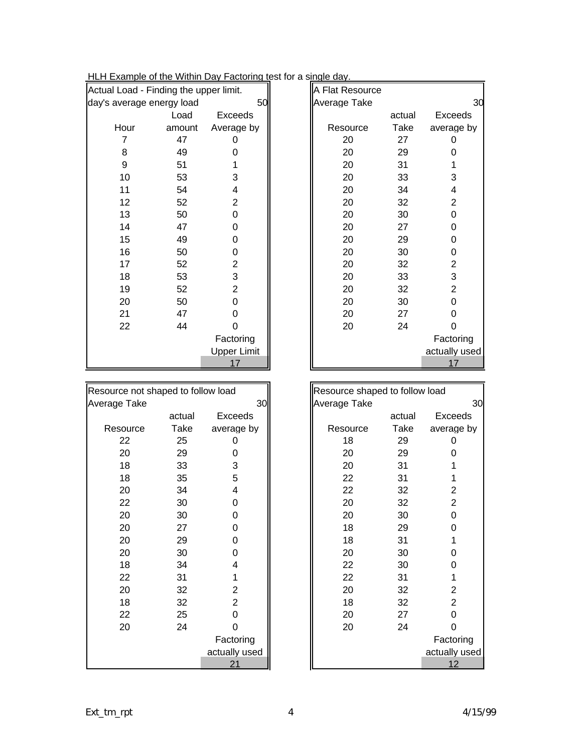| Actual Load - Finding the upper limit. |        |                    | A Flat Resource |        |                |
|----------------------------------------|--------|--------------------|-----------------|--------|----------------|
| day's average energy load              |        | 50                 | Average Take    |        | 30             |
|                                        | Load   | Exceeds            |                 | actual | Exceeds        |
| Hour                                   | amount | Average by         | Resource        | Take   | average by     |
| 7                                      | 47     | 0                  | 20              | 27     | 0              |
| 8                                      | 49     | 0                  | 20              | 29     | 0              |
| 9                                      | 51     |                    | 20              | 31     |                |
| 10                                     | 53     | 3                  | 20              | 33     | 3              |
| 11                                     | 54     | 4                  | 20              | 34     | 4              |
| 12                                     | 52     | $\overline{2}$     | 20              | 32     | $\overline{2}$ |
| 13                                     | 50     | 0                  | 20              | 30     | 0              |
| 14                                     | 47     | 0                  | 20              | 27     | 0              |
| 15                                     | 49     | 0                  | 20              | 29     | 0              |
| 16                                     | 50     | 0                  | 20              | 30     | 0              |
| 17                                     | 52     | $\overline{2}$     | 20              | 32     | $\overline{c}$ |
| 18                                     | 53     | 3                  | 20              | 33     | 3              |
| 19                                     | 52     | $\overline{2}$     | 20              | 32     | $\overline{2}$ |
| 20                                     | 50     | 0                  | 20              | 30     | 0              |
| 21                                     | 47     | 0                  | 20              | 27     | 0              |
| 22                                     | 44     | 0                  | 20              | 24     | 0              |
|                                        |        | Factoring          |                 |        | Factoring      |
|                                        |        | <b>Upper Limit</b> |                 |        | actually used  |
|                                        |        | 17                 |                 |        | 17             |

| Resource not shaped to follow load |        |               | Resource shaped to follow load |        |                |
|------------------------------------|--------|---------------|--------------------------------|--------|----------------|
| Average Take                       |        | 30            | Average Take                   |        | 30             |
|                                    | actual | Exceeds       |                                | actual | Exceeds        |
| Resource                           | Take   | average by    | Resource                       | Take   | average by     |
| 22                                 | 25     | 0             | 18                             | 29     | 0              |
| 20                                 | 29     | 0             | 20                             | 29     | O              |
| 18                                 | 33     | 3             | 20                             | 31     |                |
| 18                                 | 35     | 5             | 22                             | 31     |                |
| 20                                 | 34     | 4             | 22                             | 32     | 2              |
| 22                                 | 30     | 0             | 20                             | 32     | 2              |
| 20                                 | 30     | 0             | 20                             | 30     | 0              |
| 20                                 | 27     | 0             | 18                             | 29     | 0              |
| 20                                 | 29     | 0             | 18                             | 31     |                |
| 20                                 | 30     | 0             | 20                             | 30     | 0              |
| 18                                 | 34     | 4             | 22                             | 30     | O              |
| 22                                 | 31     | 1             | 22                             | 31     |                |
| 20                                 | 32     | 2             | 20                             | 32     | 2              |
| 18                                 | 32     | 2             | 18                             | 32     | $\overline{2}$ |
| 22                                 | 25     | 0             | 20                             | 27     | ∩              |
| 20                                 | 24     | 0             | 20                             | 24     | 0              |
|                                    |        | Factoring     |                                |        | Factoring      |
|                                    |        | actually used |                                |        | actually used  |
|                                    |        | 21            |                                |        | 12             |

|                | oad - Finding the upper limit. |                    | A Flat Resource |        |                           |
|----------------|--------------------------------|--------------------|-----------------|--------|---------------------------|
|                | verage energy load             | 50                 | Average Take    |        | 30                        |
|                | Load                           | Exceeds            |                 | actual | <b>Exceeds</b>            |
| lour           | amount                         | Average by         | Resource        | Take   | average by                |
| $\overline{7}$ | 47                             | 0                  | 20              | 27     | 0                         |
| 8              | 49                             | 0                  | 20              | 29     | 0                         |
| 9              | 51                             |                    | 20              | 31     |                           |
| 10             | 53                             | 3                  | 20              | 33     | 3                         |
| 11             | 54                             | 4                  | 20              | 34     | 4                         |
| 12             | 52                             | $\overline{2}$     | 20              | 32     | $\overline{2}$            |
| 13             | 50                             | 0                  | 20              | 30     | 0                         |
| 14             | 47                             | 0                  | 20              | 27     | 0                         |
| 15             | 49                             | 0                  | 20              | 29     | 0                         |
| 16             | 50                             | 0                  | 20              | 30     | 0                         |
| 17             | 52                             | $\overline{c}$     | 20              | 32     | $\overline{2}$            |
| 18             | 53                             | 3                  | 20              | 33     | $\ensuremath{\mathsf{3}}$ |
| 19             | 52                             | $\overline{2}$     | 20              | 32     | $\overline{2}$            |
| 20             | 50                             | $\Omega$           | 20              | 30     | 0                         |
| 21             | 47                             | 0                  | 20              | 27     | 0                         |
| 22             | 44                             | 0                  | 20              | 24     | 0                         |
|                |                                | Factoring          |                 |        | Factoring                 |
|                |                                | <b>Upper Limit</b> |                 |        | actually used             |
|                |                                | 17                 |                 |        | 17                        |
|                |                                |                    |                 |        |                           |

| d              | Resource shaped to follow load |        |               |  |
|----------------|--------------------------------|--------|---------------|--|
| 30             | Average Take                   |        | 30            |  |
| ceeds          |                                | actual | Exceeds       |  |
| age by         | Resource                       | Take   | average by    |  |
| 0              | 18                             | 29     | 0             |  |
| 0              | 20                             | 29     | 0             |  |
| $\sqrt{3}$     | 20                             | 31     |               |  |
| $\sqrt{5}$     | 22                             | 31     | 1             |  |
| 4              | 22                             | 32     | 2             |  |
| 0              | 20                             | 32     | 2             |  |
| 0              | 20                             | 30     | 0             |  |
| 0              | 18                             | 29     | 0             |  |
| 0              | 18                             | 31     | 1             |  |
| 0              | 20                             | 30     | 0             |  |
| 4              | 22                             | 30     | 0             |  |
| 1              | 22                             | 31     | 1             |  |
| $\overline{2}$ | 20                             | 32     | 2             |  |
| $\overline{2}$ | 18                             | 32     | 2             |  |
| 0              | 20                             | 27     | 0             |  |
| 0              | 20                             | 24     | ი             |  |
| toring:        |                                |        | Factoring     |  |
| lly used       |                                |        | actually used |  |
| <u>21</u>      |                                |        | 12            |  |

## HLH Example of the Within Day Factoring test for a single day.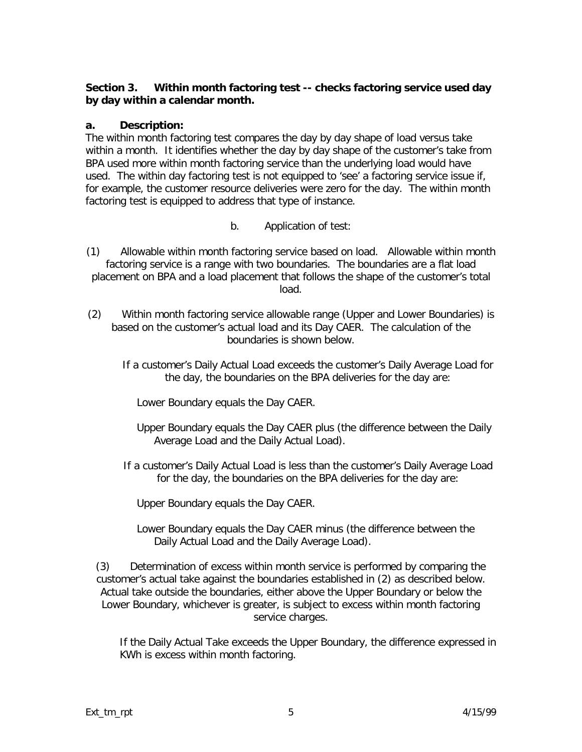#### **Section 3. Within month factoring test -- checks factoring service used day by day within a calendar month.**

#### **a. Description:**

The within month factoring test compares the day by day shape of load versus take within a month. It identifies whether the day by day shape of the customer's take from BPA used more within month factoring service than the underlying load would have used. The within day factoring test is not equipped to 'see' a factoring service issue if, for example, the customer resource deliveries were zero for the day. The within month factoring test is equipped to address that type of instance.

b. Application of test:

(1) Allowable within month factoring service based on load. Allowable within month factoring service is a range with two boundaries. The boundaries are a flat load placement on BPA and a load placement that follows the shape of the customer's total load.

- (2) Within month factoring service allowable range (Upper and Lower Boundaries) is based on the customer's actual load and its Day CAER. The calculation of the boundaries is shown below.
	- If a customer's *Daily Actual Load* exceeds the customer's *Daily Average Load* for the day, the boundaries on the BPA deliveries for the day are:

*Lower Boundary* equals the *Day CAER*.

- *Upper Boundary* equals the *Day CAER* plus (the difference between the *Daily Average Load* and the *Daily Actual Load*).
- If a customer's *Daily Actual Load* is less than the customer's *Daily Average Load* for the day, the boundaries on the BPA deliveries for the day are:

*Upper Boundary* equals the *Day CAER*.

*Lower Boundary* equals the *Day CAER* minus (the difference between the *Daily Actual Load* and the *Daily Average Load*).

(3) Determination of excess within month service is performed by comparing the customer's actual take against the boundaries established in (2) as described below. Actual take outside the boundaries, either above the Upper Boundary or below the Lower Boundary, whichever is greater, is subject to excess within month factoring service charges.

If the *Daily Actual Take* exceeds the *Upper Boundary*, the difference expressed in KWh is excess within month factoring.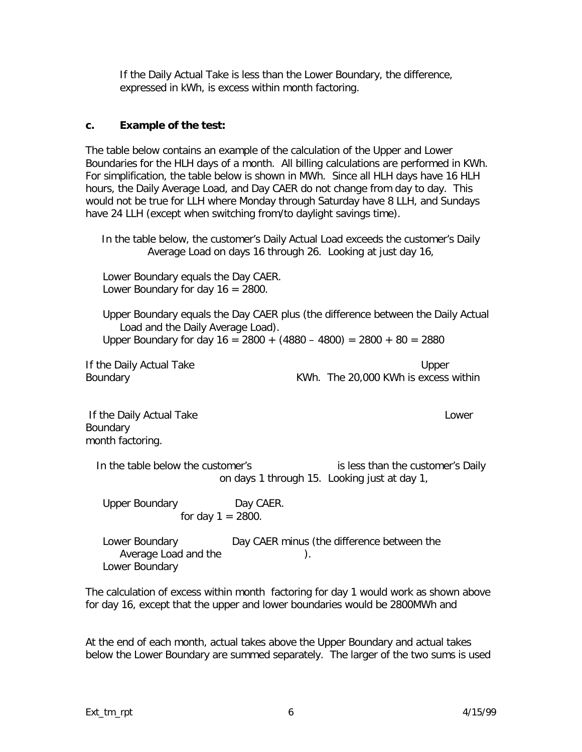If the *Daily Actual Take* is less than the *Lower Boundary*, the difference, expressed in kWh, is excess within month factoring.

#### **c. Example of the test:**

The table below contains an example of the calculation of the Upper and Lower Boundaries for the HLH days of a month. All billing calculations are performed in KWh. For simplification, the table below is shown in MWh. Since all HLH days have 16 HLH hours, the *Daily Average Load*, and *Day CAER* do not change from day to day. This would not be true for LLH where Monday through Saturday have 8 LLH, and Sundays have 24 LLH (except when switching from/to daylight savings time).

In the table below, the customer's *Daily Actual Load* exceeds the customer's *Daily Average Load* on days 16 through 26. Looking at just day 16,

*Lower Boundary* equals the *Day CAER*. *Lower Boundary* for day 16 = 2800.

*Upper Boundary* equals the *Day CAER* plus (the difference between the *Daily Actual Load* and the *Daily Average Load*). *Upper Boundary* for day 16 = 2800 + (4880 – 4800) = 2800 + 80 = 2880

If the *Daily Actual Take Upper Boundary* KWh. The 20,000 KWh is excess within

 If the *Daily Actual Take Lower Boundary* month factoring.

In the table below the customer's **interest is less than the customer's Daily** on days 1 through 15. Looking just at day 1,

*Upper Boundary Day CAER*. for day  $1 = 2800$ .

*Lower Boundary Day CAER* minus (the difference between the Average Load and the **Example 2018** *Lower Boundary* 

The calculation of excess within month factoring for day 1 would work as shown above for day 16, except that the upper and lower boundaries would be 2800MWh and

At the end of each month, actual takes above the Upper Boundary and actual takes below the Lower Boundary are summed separately. The larger of the two sums is used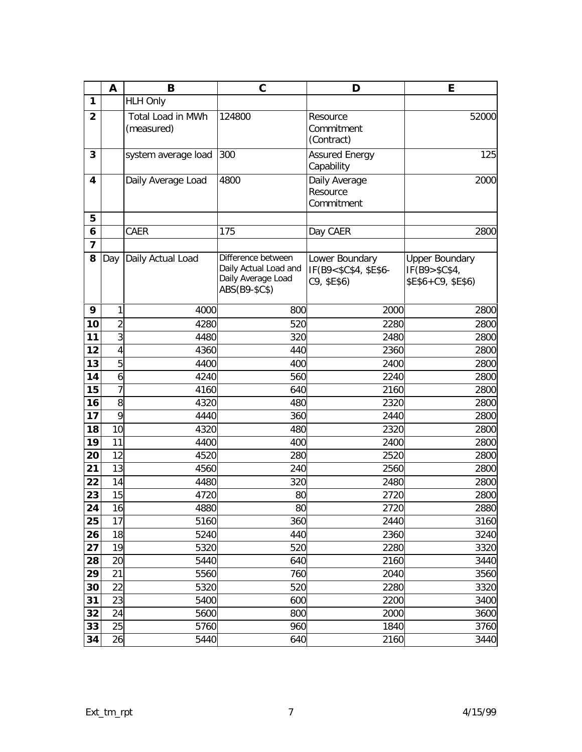|                         | A              | B                               | $\mathbf C$                                                                        | D                                                      | E                                                              |
|-------------------------|----------------|---------------------------------|------------------------------------------------------------------------------------|--------------------------------------------------------|----------------------------------------------------------------|
| 1                       |                | <b>HLH Only</b>                 |                                                                                    |                                                        |                                                                |
| $\overline{2}$          |                | Total Load in MWh<br>(measured) | 124800                                                                             | Resource<br>Commitment<br>(Contract)                   | 52000                                                          |
| 3                       |                | system average load             | 300                                                                                | <b>Assured Energy</b><br>Capability                    | 125                                                            |
| 4                       |                | Daily Average Load              | 4800                                                                               | Daily Average<br>Resource<br>Commitment                | 2000                                                           |
| 5                       |                |                                 |                                                                                    |                                                        |                                                                |
| 6                       |                | CAER                            | 175                                                                                | Day CAER                                               | 2800                                                           |
| $\overline{\mathbf{z}}$ |                |                                 |                                                                                    |                                                        |                                                                |
| 8                       | Day            | Daily Actual Load               | Difference between<br>Daily Actual Load and<br>Daily Average Load<br>ABS(B9-\$C\$) | Lower Boundary<br>IF(B9<\$C\$4, \$E\$6-<br>C9, \$E\$6) | <b>Upper Boundary</b><br>IF(B9 > \$C\$4,<br>\$E\$6+C9, \$E\$6) |
| 9                       | 1              | 4000                            | 800                                                                                | 2000                                                   | 2800                                                           |
| 10                      | $\overline{2}$ | 4280                            | 520                                                                                | 2280                                                   | 2800                                                           |
| 11                      | 3              | 4480                            | 320                                                                                | 2480                                                   | 2800                                                           |
| 12                      | $\overline{4}$ | 4360                            | 440                                                                                | 2360                                                   | 2800                                                           |
| 13                      | 5              | 4400                            | 400                                                                                | 2400                                                   | 2800                                                           |
| 14                      | 6              | 4240                            | 560                                                                                | 2240                                                   | 2800                                                           |
| 15                      | $\overline{7}$ | 4160                            | 640                                                                                | 2160                                                   | 2800                                                           |
| 16                      | 8              | 4320                            | 480                                                                                | 2320                                                   | 2800                                                           |
| 17                      | 9              | 4440                            | 360                                                                                | 2440                                                   | 2800                                                           |
| 18                      | 10             | 4320                            | 480                                                                                | 2320                                                   | 2800                                                           |
| 19                      | 11             | 4400                            | 400                                                                                | 2400                                                   | 2800                                                           |
| 20                      | 12             | 4520                            | 280                                                                                | 2520                                                   | 2800                                                           |
| 21                      | 13             | 4560                            | 240                                                                                | 2560                                                   | 2800                                                           |
| 22                      | 14             | 4480                            | 320                                                                                | 2480                                                   | 2800                                                           |
| 23                      | 15             | 4720                            | 80                                                                                 | 2720                                                   | 2800                                                           |
| 24                      | 16             | 4880                            | 80                                                                                 | 2720                                                   | 2880                                                           |
| 25                      | 17             | 5160                            | 360                                                                                | 2440                                                   | 3160                                                           |
| 26                      | 18             | 5240                            | 440                                                                                | 2360                                                   | 3240                                                           |
| 27                      | 19             | 5320                            | 520                                                                                | 2280                                                   | 3320                                                           |
| 28                      | 20             | 5440                            | 640                                                                                | 2160                                                   | 3440                                                           |
| 29                      | 21             | 5560                            | 760                                                                                | 2040                                                   | 3560                                                           |
| 30                      | 22             | 5320                            | 520                                                                                | 2280                                                   | 3320                                                           |
| 31                      | 23             | 5400                            | 600                                                                                | 2200                                                   | 3400                                                           |
| 32                      | 24             | 5600                            | 800                                                                                | 2000                                                   | 3600                                                           |
| 33                      | 25             | 5760                            | 960                                                                                | 1840                                                   | 3760                                                           |
| 34                      | 26             | 5440                            | 640                                                                                | 2160                                                   | 3440                                                           |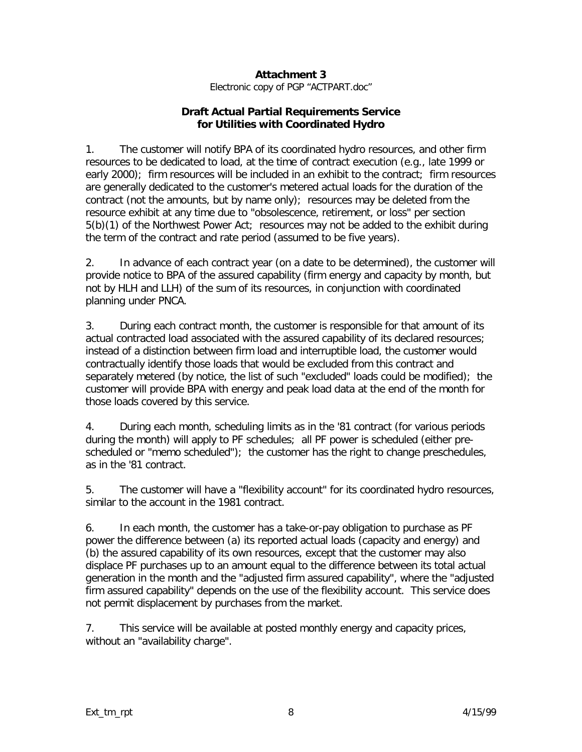#### **Attachment 3**

*Electronic copy of PGP "ACTPART.doc"*

#### **Draft Actual Partial Requirements Service for Utilities with Coordinated Hydro**

1. The customer will notify BPA of its coordinated hydro resources, and other firm resources to be dedicated to load, at the time of contract execution (e.g., late 1999 or early 2000); firm resources will be included in an exhibit to the contract; firm resources are generally dedicated to the customer's metered actual loads for the duration of the contract (not the amounts, but by name only); resources may be deleted from the resource exhibit at any time due to "obsolescence, retirement, or loss" per section 5(b)(1) of the Northwest Power Act; resources may not be added to the exhibit during the term of the contract and rate period (assumed to be five years).

2. In advance of each contract year (on a date to be determined), the customer will provide notice to BPA of the assured capability (firm energy and capacity by month, but not by HLH and LLH) of the sum of its resources, in conjunction with coordinated planning under PNCA.

3. During each contract month, the customer is responsible for that amount of its actual contracted load associated with the assured capability of its declared resources; instead of a distinction between firm load and interruptible load, the customer would contractually identify those loads that would be excluded from this contract and separately metered (by notice, the list of such "excluded" loads could be modified); the customer will provide BPA with energy and peak load data at the end of the month for those loads covered by this service.

4. During each month, scheduling limits as in the '81 contract (for various periods during the month) will apply to PF schedules; all PF power is scheduled (either prescheduled or "memo scheduled"); the customer has the right to change preschedules, as in the '81 contract.

5. The customer will have a "flexibility account" for its coordinated hydro resources, similar to the account in the 1981 contract.

6. In each month, the customer has a take-or-pay obligation to purchase as PF power the difference between (a) its reported actual loads (capacity and energy) and (b) the assured capability of its own resources, except that the customer may also displace PF purchases up to an amount equal to the difference between its total actual generation in the month and the "adjusted firm assured capability", where the "adjusted firm assured capability" depends on the use of the flexibility account. This service does not permit displacement by purchases from the market.

7. This service will be available at posted monthly energy and capacity prices, without an "availability charge".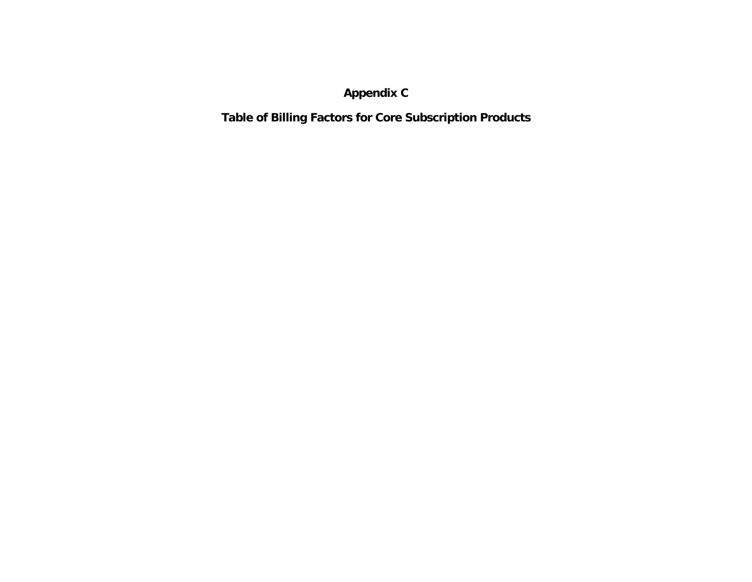**Appendix C**

**Table of Billing Factors for Core Subscription Products**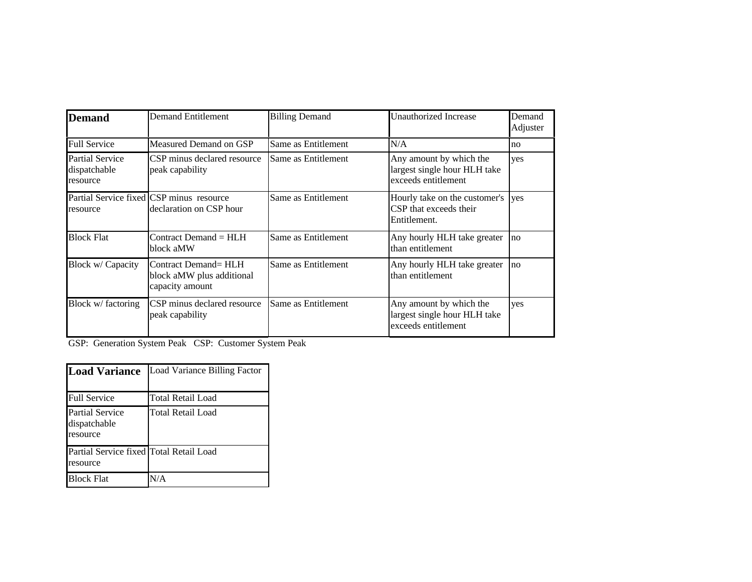| <b>Demand</b>                               | <b>Demand Entitlement</b>                                            | <b>Billing Demand</b> | <b>Unauthorized Increase</b>                                                   | Demand<br>Adjuster |
|---------------------------------------------|----------------------------------------------------------------------|-----------------------|--------------------------------------------------------------------------------|--------------------|
| <b>Full Service</b>                         | Measured Demand on GSP                                               | Same as Entitlement   | N/A                                                                            | no                 |
| Partial Service<br>dispatchable<br>resource | CSP minus declared resource<br>peak capability                       | Same as Entitlement   | Any amount by which the<br>largest single hour HLH take<br>exceeds entitlement | yes                |
| resource                                    | Partial Service fixed CSP minus resource<br>declaration on CSP hour  | Same as Entitlement   | Hourly take on the customer's<br>CSP that exceeds their<br>Entitlement.        | yes                |
| <b>Block Flat</b>                           | Contract Demand = HLH<br>block aMW                                   | Same as Entitlement   | Any hourly HLH take greater<br>lthan entitlement                               | no                 |
| Block w/ Capacity                           | Contract Demand= HLH<br>block aMW plus additional<br>capacity amount | Same as Entitlement   | Any hourly HLH take greater<br>lthan entitlement                               | no                 |
| Block w/ factoring                          | CSP minus declared resource<br>peak capability                       | Same as Entitlement   | Any amount by which the<br>largest single hour HLH take<br>exceeds entitlement | yes                |

GSP: Generation System Peak CSP: Customer System Peak

| <b>Load Variance</b>                                | Load Variance Billing Factor |
|-----------------------------------------------------|------------------------------|
| <b>Full Service</b>                                 | Total Retail Load            |
| <b>Partial Service</b><br>dispatchable<br>resource  | Total Retail Load            |
| Partial Service fixed Total Retail Load<br>resource |                              |
| <b>Block Flat</b>                                   | N/A                          |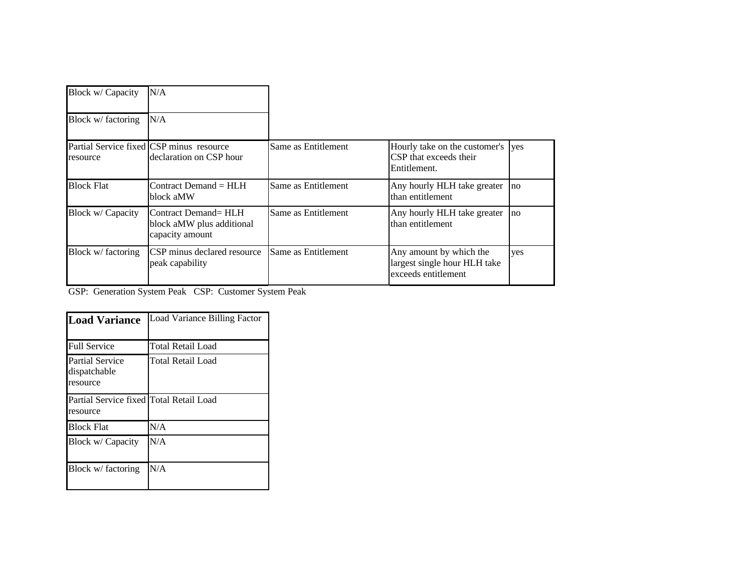| Block w/ Capacity  | N/A                                                                  |                     |                                                                                |            |
|--------------------|----------------------------------------------------------------------|---------------------|--------------------------------------------------------------------------------|------------|
| Block w/ factoring | N/A                                                                  |                     |                                                                                |            |
| resource           | Partial Service fixed CSP minus resource<br>declaration on CSP hour  | Same as Entitlement | Hourly take on the customer's<br>CSP that exceeds their<br>Entitlement.        | <b>ves</b> |
| <b>Block Flat</b>  | $Contract$ Demand $= HLH$<br>block aMW                               | Same as Entitlement | Any hourly HLH take greater<br>lthan entitlement                               | no         |
| Block w/ Capacity  | Contract Demand= HLH<br>block aMW plus additional<br>capacity amount | Same as Entitlement | Any hourly HLH take greater<br>than entitlement                                | no         |
| Block w/ factoring | <b>CSP</b> minus declared resource<br>peak capability                | Same as Entitlement | Any amount by which the<br>largest single hour HLH take<br>exceeds entitlement | yes        |

GSP: Generation System Peak CSP: Customer System Peak

| <b>Load Variance</b>                                | Load Variance Billing Factor |
|-----------------------------------------------------|------------------------------|
| <b>Full Service</b>                                 | Total Retail Load            |
| <b>Partial Service</b><br>dispatchable<br>resource  | Total Retail Load            |
| Partial Service fixed Total Retail Load<br>resource |                              |
| <b>Block Flat</b>                                   | N/A                          |
| Block w/ Capacity                                   | N/A                          |
| Block w/ factoring                                  | N/A                          |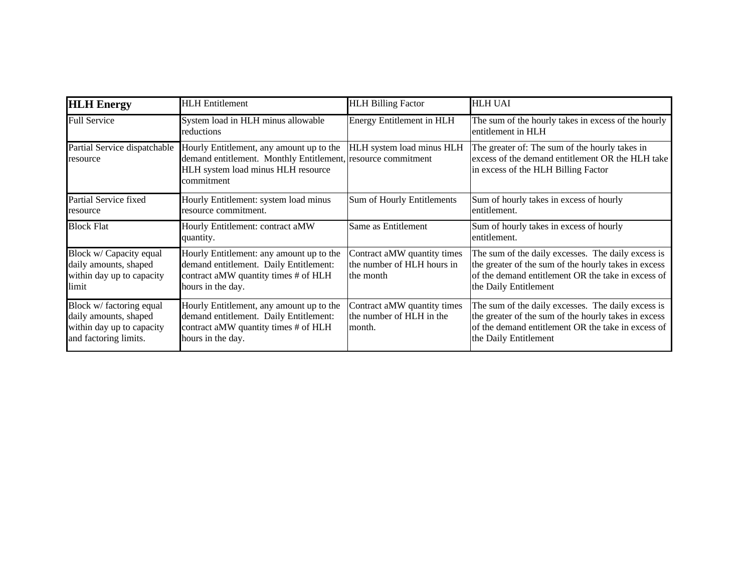| <b>HLH</b> Energy                                                                                       | <b>HLH</b> Entitlement                                                                                                                                       | <b>HLH Billing Factor</b>                                              | <b>HLH UAI</b>                                                                                                                                                                            |
|---------------------------------------------------------------------------------------------------------|--------------------------------------------------------------------------------------------------------------------------------------------------------------|------------------------------------------------------------------------|-------------------------------------------------------------------------------------------------------------------------------------------------------------------------------------------|
| <b>Full Service</b>                                                                                     | System load in HLH minus allowable<br>reductions                                                                                                             | Energy Entitlement in HLH                                              | The sum of the hourly takes in excess of the hourly<br>entitlement in HLH                                                                                                                 |
| Partial Service dispatchable<br>resource                                                                | Hourly Entitlement, any amount up to the<br>demand entitlement. Monthly Entitlement, resource commitment<br>HLH system load minus HLH resource<br>commitment | HLH system load minus HLH                                              | The greater of: The sum of the hourly takes in<br>excess of the demand entitlement OR the HLH take<br>in excess of the HLH Billing Factor                                                 |
| Partial Service fixed<br>resource                                                                       | Hourly Entitlement: system load minus<br>resource commitment.                                                                                                | Sum of Hourly Entitlements                                             | Sum of hourly takes in excess of hourly<br>entitlement.                                                                                                                                   |
| <b>Block Flat</b>                                                                                       | Hourly Entitlement: contract aMW<br>quantity.                                                                                                                | Same as Entitlement                                                    | Sum of hourly takes in excess of hourly<br>entitlement.                                                                                                                                   |
| Block w/ Capacity equal<br>daily amounts, shaped<br>within day up to capacity<br>limit                  | Hourly Entitlement: any amount up to the<br>demand entitlement. Daily Entitlement:<br>contract aMW quantity times # of HLH<br>hours in the day.              | Contract aMW quantity times<br>the number of HLH hours in<br>the month | The sum of the daily excesses. The daily excess is<br>the greater of the sum of the hourly takes in excess<br>of the demand entitlement OR the take in excess of<br>the Daily Entitlement |
| Block w/ factoring equal<br>daily amounts, shaped<br>within day up to capacity<br>and factoring limits. | Hourly Entitlement, any amount up to the<br>demand entitlement. Daily Entitlement:<br>contract aMW quantity times # of HLH<br>hours in the day.              | Contract aMW quantity times<br>the number of HLH in the<br>month.      | The sum of the daily excesses. The daily excess is<br>the greater of the sum of the hourly takes in excess<br>of the demand entitlement OR the take in excess of<br>the Daily Entitlement |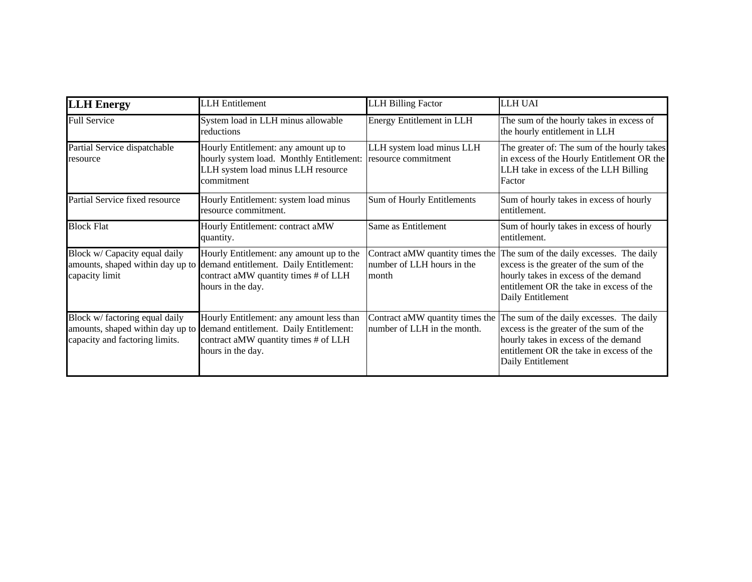| <b>LLH</b> Energy                                                                                    | <b>LLH</b> Entitlement                                                                                                                          | <b>LLH Billing Factor</b>                                              | <b>LLH UAI</b>                                                                                                                                                                               |
|------------------------------------------------------------------------------------------------------|-------------------------------------------------------------------------------------------------------------------------------------------------|------------------------------------------------------------------------|----------------------------------------------------------------------------------------------------------------------------------------------------------------------------------------------|
| <b>Full Service</b>                                                                                  | System load in LLH minus allowable<br>reductions                                                                                                | Energy Entitlement in LLH                                              | The sum of the hourly takes in excess of<br>the hourly entitlement in LLH                                                                                                                    |
| Partial Service dispatchable<br>resource                                                             | Hourly Entitlement: any amount up to<br>hourly system load. Monthly Entitlement:<br>LLH system load minus LLH resource<br>commitment            | LLH system load minus LLH<br>resource commitment                       | The greater of: The sum of the hourly takes<br>in excess of the Hourly Entitlement OR the<br>LLH take in excess of the LLH Billing<br>Factor                                                 |
| Partial Service fixed resource                                                                       | Hourly Entitlement: system load minus<br>resource commitment.                                                                                   | Sum of Hourly Entitlements                                             | Sum of hourly takes in excess of hourly<br>entitlement.                                                                                                                                      |
| <b>Block Flat</b>                                                                                    | Hourly Entitlement: contract aMW<br>quantity.                                                                                                   | Same as Entitlement                                                    | Sum of hourly takes in excess of hourly<br>entitlement.                                                                                                                                      |
| Block w/ Capacity equal daily<br>amounts, shaped within day up to<br>capacity limit                  | Hourly Entitlement: any amount up to the<br>demand entitlement. Daily Entitlement:<br>contract aMW quantity times # of LLH<br>hours in the day. | Contract aMW quantity times the<br>number of LLH hours in the<br>month | The sum of the daily excesses. The daily<br>excess is the greater of the sum of the<br>hourly takes in excess of the demand<br>entitlement OR the take in excess of the<br>Daily Entitlement |
| Block w/ factoring equal daily<br>amounts, shaped within day up to<br>capacity and factoring limits. | Hourly Entitlement: any amount less than<br>demand entitlement. Daily Entitlement:<br>contract aMW quantity times # of LLH<br>hours in the day. | Contract aMW quantity times the<br>number of LLH in the month.         | The sum of the daily excesses. The daily<br>excess is the greater of the sum of the<br>hourly takes in excess of the demand<br>entitlement OR the take in excess of the<br>Daily Entitlement |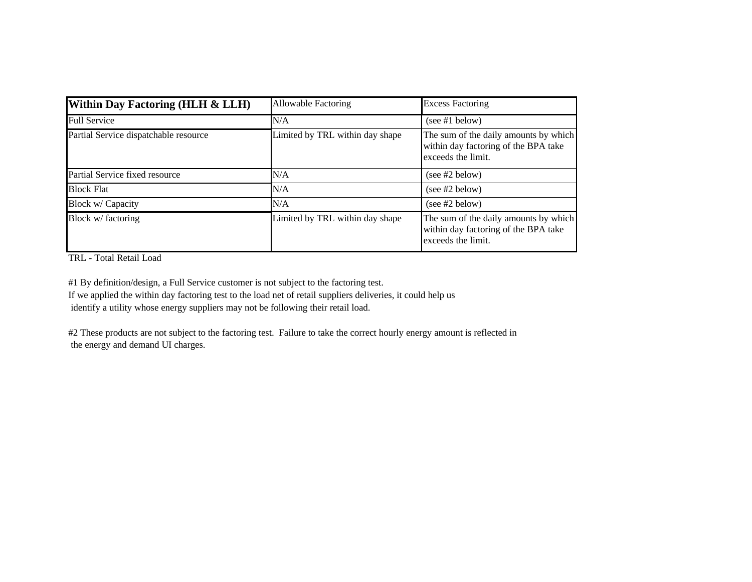| <b>Within Day Factoring (HLH &amp; LLH)</b> | <b>Allowable Factoring</b>      | <b>Excess Factoring</b>                                                                             |
|---------------------------------------------|---------------------------------|-----------------------------------------------------------------------------------------------------|
| <b>Full Service</b>                         | N/A                             | (see #1 below)                                                                                      |
| Partial Service dispatchable resource       | Limited by TRL within day shape | The sum of the daily amounts by which<br>within day factoring of the BPA take<br>exceeds the limit. |
| Partial Service fixed resource              | N/A                             | (see #2 below)                                                                                      |
| <b>Block Flat</b>                           | N/A                             | (see #2 below)                                                                                      |
| Block w/ Capacity                           | N/A                             | (see #2 below)                                                                                      |
| Block w/ factoring                          | Limited by TRL within day shape | The sum of the daily amounts by which<br>within day factoring of the BPA take<br>exceeds the limit. |

TRL - Total Retail Load

#1 By definition/design, a Full Service customer is not subject to the factoring test.

If we applied the within day factoring test to the load net of retail suppliers deliveries, it could help us identify a utility whose energy suppliers may not be following their retail load.

#2 These products are not subject to the factoring test. Failure to take the correct hourly energy amount is reflected in the energy and demand UI charges.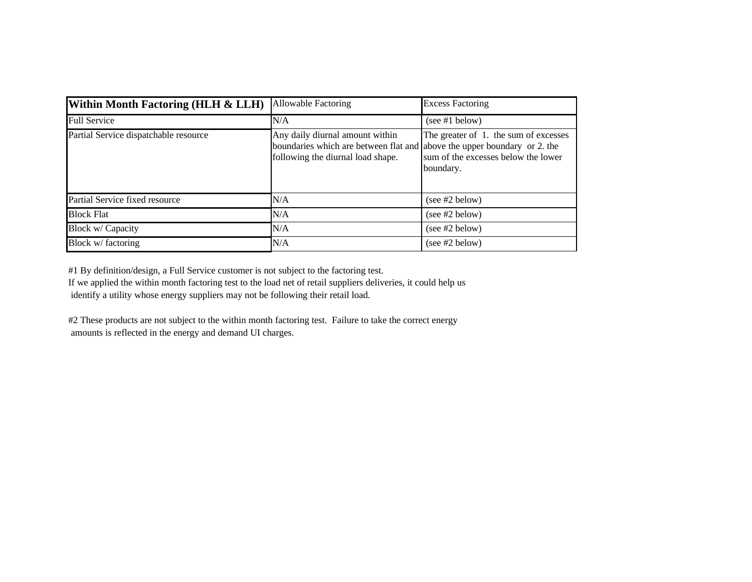| Within Month Factoring (HLH & LLH)    | <b>Allowable Factoring</b>                                                                                                                       | <b>Excess Factoring</b>                                                                   |
|---------------------------------------|--------------------------------------------------------------------------------------------------------------------------------------------------|-------------------------------------------------------------------------------------------|
| <b>Full Service</b>                   | N/A                                                                                                                                              | (see #1 below)                                                                            |
| Partial Service dispatchable resource | Any daily diurnal amount within<br>boundaries which are between flat and above the upper boundary or 2. the<br>following the diurnal load shape. | The greater of 1. the sum of excesses<br>sum of the excesses below the lower<br>boundary. |
| Partial Service fixed resource        | N/A                                                                                                                                              | (see #2 below)                                                                            |
| <b>Block Flat</b>                     | N/A                                                                                                                                              | (see #2 below)                                                                            |
| Block w/ Capacity                     | N/A                                                                                                                                              | (see #2 below)                                                                            |
| Block w/ factoring                    | N/A                                                                                                                                              | (see #2 below)                                                                            |

#1 By definition/design, a Full Service customer is not subject to the factoring test.

If we applied the within month factoring test to the load net of retail suppliers deliveries, it could help us identify a utility whose energy suppliers may not be following their retail load.

#2 These products are not subject to the within month factoring test. Failure to take the correct energy amounts is reflected in the energy and demand UI charges.